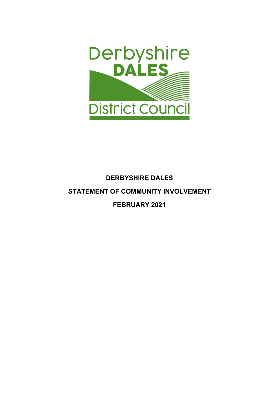

# DERBYSHIRE DALES STATEMENT OF COMMUNITY INVOLVEMENT FEBRUARY 2021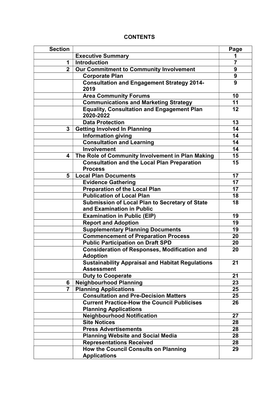# **CONTENTS**

| <b>Section</b>          |                                                                                    | Page           |
|-------------------------|------------------------------------------------------------------------------------|----------------|
|                         | <b>Executive Summary</b>                                                           | 1              |
| 1                       | <b>Introduction</b>                                                                | $\overline{7}$ |
| $\overline{2}$          | <b>Our Commitment to Community Involvement</b>                                     | 9              |
|                         | <b>Corporate Plan</b>                                                              | 9              |
|                         | <b>Consultation and Engagement Strategy 2014-</b><br>2019                          | 9              |
|                         | <b>Area Community Forums</b>                                                       | 10             |
|                         | <b>Communications and Marketing Strategy</b>                                       | 11             |
|                         | <b>Equality, Consultation and Engagement Plan</b><br>2020-2022                     | 12             |
|                         | <b>Data Protection</b>                                                             | 13             |
| $\overline{\mathbf{3}}$ | <b>Getting Involved In Planning</b>                                                | 14             |
|                         | <b>Information giving</b>                                                          | 14             |
|                         | <b>Consultation and Learning</b>                                                   | 14             |
|                         | <b>Involvement</b>                                                                 | 14             |
| 4                       | The Role of Community Involvement in Plan Making                                   | 15             |
|                         | <b>Consultation and the Local Plan Preparation</b><br><b>Process</b>               | 15             |
| 5                       | <b>Local Plan Documents</b>                                                        | 17             |
|                         | <b>Evidence Gathering</b>                                                          | 17             |
|                         | <b>Preparation of the Local Plan</b>                                               | 17             |
|                         | <b>Publication of Local Plan</b>                                                   | 18             |
|                         | Submission of Local Plan to Secretary of State<br>and Examination in Public        | 18             |
|                         | <b>Examination in Public (EIP)</b>                                                 | 19             |
|                         | <b>Report and Adoption</b>                                                         | 19             |
|                         | <b>Supplementary Planning Documents</b>                                            | 19             |
|                         | <b>Commencement of Preparation Process</b>                                         | 20             |
|                         | <b>Public Participation on Draft SPD</b>                                           | 20             |
|                         | <b>Consideration of Responses, Modification and</b><br><b>Adoption</b>             | 20             |
|                         | <b>Sustainability Appraisal and Habitat Regulations</b><br><b>Assessment</b>       | 21             |
|                         | <b>Duty to Cooperate</b>                                                           | 21             |
| 6                       | <b>Neighbourhood Planning</b>                                                      | 23             |
| $\overline{7}$          | <b>Planning Applications</b>                                                       | 25             |
|                         | <b>Consultation and Pre-Decision Matters</b>                                       | 25             |
|                         | <b>Current Practice-How the Council Publicises</b><br><b>Planning Applications</b> | 26             |
|                         | <b>Neighbourhood Notification</b>                                                  | 27             |
|                         | <b>Site Notices</b>                                                                | 28             |
|                         | <b>Press Advertisements</b>                                                        | 28             |
|                         | <b>Planning Website and Social Media</b>                                           | 28             |
|                         | <b>Representations Received</b>                                                    | 28             |
|                         | How the Council Consults on Planning<br><b>Applications</b>                        | 29             |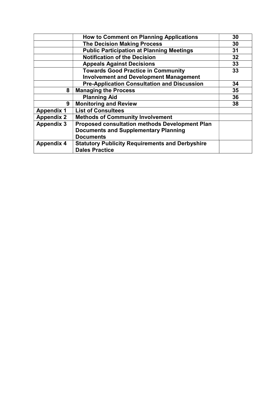|                   | <b>How to Comment on Planning Applications</b>         | 30 |
|-------------------|--------------------------------------------------------|----|
|                   | <b>The Decision Making Process</b>                     | 30 |
|                   | 31                                                     |    |
|                   | <b>Notification of the Decision</b>                    | 32 |
|                   | <b>Appeals Against Decisions</b>                       | 33 |
|                   | <b>Towards Good Practice in Community</b>              | 33 |
|                   | <b>Involvement and Development Management</b>          |    |
|                   | <b>Pre-Application Consultation and Discussion</b>     | 34 |
| 8                 | <b>Managing the Process</b>                            | 35 |
|                   | <b>Planning Aid</b>                                    | 36 |
| 9                 | <b>Monitoring and Review</b>                           | 38 |
| <b>Appendix 1</b> | <b>List of Consultees</b>                              |    |
| <b>Appendix 2</b> | <b>Methods of Community Involvement</b>                |    |
| <b>Appendix 3</b> | <b>Proposed consultation methods Development Plan</b>  |    |
|                   | <b>Documents and Supplementary Planning</b>            |    |
|                   | <b>Documents</b>                                       |    |
| <b>Appendix 4</b> | <b>Statutory Publicity Requirements and Derbyshire</b> |    |
|                   | <b>Dales Practice</b>                                  |    |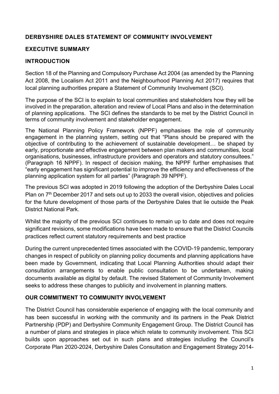## DERBYSHIRE DALES STATEMENT OF COMMUNITY INVOLVEMENT

## EXECUTIVE SUMMARY

## INTRODUCTION

Section 18 of the Planning and Compulsory Purchase Act 2004 (as amended by the Planning Act 2008, the Localism Act 2011 and the Neighbourhood Planning Act 2017) requires that local planning authorities prepare a Statement of Community Involvement (SCI).

The purpose of the SCI is to explain to local communities and stakeholders how they will be involved in the preparation, alteration and review of Local Plans and also in the determination of planning applications. The SCI defines the standards to be met by the District Council in terms of community involvement and stakeholder engagement.

 The National Planning Policy Framework (NPPF) emphasises the role of community engagement in the planning system, setting out that "Plans should be prepared with the objective of contributing to the achievement of sustainable development… be shaped by early, proportionate and effective engagement between plan makers and communities, local organisations, businesses, infrastructure providers and operators and statutory consultees." (Paragraph 16 NPPF). In respect of decision making, the NPPF further emphasises that "early engagement has significant potential to improve the efficiency and effectiveness of the planning application system for all parties" (Paragraph 39 NPPF).

The previous SCI was adopted in 2019 following the adoption of the Derbyshire Dales Local Plan on 7<sup>th</sup> December 2017 and sets out up to 2033 the overall vision, objectives and policies for the future development of those parts of the Derbyshire Dales that lie outside the Peak District National Park.

Whilst the majority of the previous SCI continues to remain up to date and does not require significant revisions, some modifications have been made to ensure that the District Councils practices reflect current statutory requirements and best practice

During the current unprecedented times associated with the COVID-19 pandemic, temporary changes in respect of publicity on planning policy documents and planning applications have been made by Government, indicating that Local Planning Authorities should adapt their consultation arrangements to enable public consultation to be undertaken, making documents available as digital by default. The revised Statement of Community Involvement seeks to address these changes to publicity and involvement in planning matters.

## OUR COMMITMENT TO COMMUNITY INVOLVEMENT

The District Council has considerable experience of engaging with the local community and has been successful in working with the community and its partners in the Peak District Partnership (PDP) and Derbyshire Community Engagement Group. The District Council has a number of plans and strategies in place which relate to community involvement. This SCI builds upon approaches set out in such plans and strategies including the Council's Corporate Plan 2020-2024, Derbyshire Dales Consultation and Engagement Strategy 2014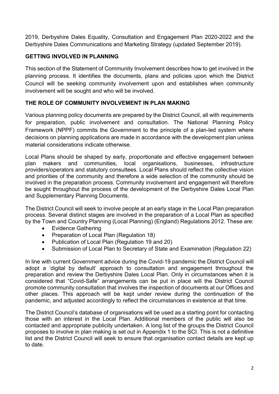2019, Derbyshire Dales Equality, Consultation and Engagement Plan 2020-2022 and the Derbyshire Dales Communications and Marketing Strategy (updated September 2019).

## GETTING INVOLVED IN PLANNING

This section of the Statement of Community Involvement describes how to get involved in the planning process. It identifies the documents, plans and policies upon which the District Council will be seeking community involvement upon and establishes when community involvement will be sought and who will be involved.

# THE ROLE OF COMMUNITY INVOLVEMENT IN PLAN MAKING

Various planning policy documents are prepared by the District Council, all with requirements for preparation, public involvement and consultation. The National Planning Policy Framework (NPPF) commits the Government to the principle of a plan-led system where decisions on planning applications are made in accordance with the development plan unless material considerations indicate otherwise.

Local Plans should be shaped by early, proportionate and effective engagement between plan makers and communities, local organisations, businesses, infrastructure providers/operators and statutory consultees. Local Plans should reflect the collective vision and priorities of the community and therefore a wide selection of the community should be involved in the preparation process. Community involvement and engagement will therefore be sought throughout the process of the development of the Derbyshire Dales Local Plan and Supplementary Planning Documents.

The District Council will seek to involve people at an early stage in the Local Plan preparation process. Several distinct stages are involved in the preparation of a Local Plan as specified by the Town and Country Planning (Local Planning) (England) Regulations 2012. These are:

- Evidence Gathering
- Preparation of Local Plan (Regulation 18)
- Publication of Local Plan (Regulation 19 and 20)
- Submission of Local Plan to Secretary of State and Examination (Regulation 22)

In line with current Government advice during the Covid-19 pandemic the District Council will adopt a 'digital by default' approach to consultation and engagement throughout the preparation and review the Derbyshire Dales Local Plan. Only in circumstances when it is considered that "Covid-Safe" arrangements can be put in place will the District Council promote community consultation that involves the inspection of documents at our Offices and other places. This approach will be kept under review during the continuation of the pandemic, and adjusted accordingly to reflect the circumstances in existence at that time.

The District Council's database of organisations will be used as a starting point for contacting those with an interest in the Local Plan. Additional members of the public will also be contacted and appropriate publicity undertaken. A long list of the groups the District Council proposes to involve in plan making is set out in Appendix 1 to the SCI. This is not a definitive list and the District Council will seek to ensure that organisation contact details are kept up to date.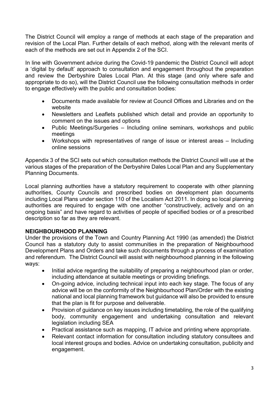The District Council will employ a range of methods at each stage of the preparation and revision of the Local Plan. Further details of each method, along with the relevant merits of each of the methods are set out in Appendix 2 of the SCI.

In line with Government advice during the Covid-19 pandemic the District Council will adopt a 'digital by default' approach to consultation and engagement throughout the preparation and review the Derbyshire Dales Local Plan. At this stage (and only where safe and appropriate to do so), will the District Council use the following consultation methods in order to engage effectively with the public and consultation bodies:

- Documents made available for review at Council Offices and Libraries and on the website
- Newsletters and Leaflets published which detail and provide an opportunity to comment on the issues and options
- Public Meetings/Surgeries Including online seminars, workshops and public meetings
- Workshops with representatives of range of issue or interest areas Including online sessions

Appendix 3 of the SCI sets out which consultation methods the District Council will use at the various stages of the preparation of the Derbyshire Dales Local Plan and any Supplementary Planning Documents.

Local planning authorities have a statutory requirement to cooperate with other planning authorities, County Councils and prescribed bodies on development plan documents including Local Plans under section 110 of the Localism Act 2011. In doing so local planning authorities are required to engage with one another "constructively, actively and on an ongoing basis" and have regard to activities of people of specified bodies or of a prescribed description so far as they are relevant.

# NEIGHBOURHOOD PLANNING

Under the provisions of the Town and Country Planning Act 1990 (as amended) the District Council has a statutory duty to assist communities in the preparation of Neighbourhood Development Plans and Orders and take such documents through a process of examination and referendum. The District Council will assist with neighbourhood planning in the following ways:

- Initial advice regarding the suitability of preparing a neighbourhood plan or order, including attendance at suitable meetings or providing briefings.
- On-going advice, including technical input into each key stage. The focus of any advice will be on the conformity of the Neighbourhood Plan/Order with the existing national and local planning framework but guidance will also be provided to ensure that the plan is fit for purpose and deliverable.
- Provision of quidance on key issues including timetabling, the role of the qualifying body, community engagement and undertaking consultation and relevant legislation including SEA
- Practical assistance such as mapping, IT advice and printing where appropriate.
- Relevant contact information for consultation including statutory consultees and local interest groups and bodies. Advice on undertaking consultation, publicity and engagement.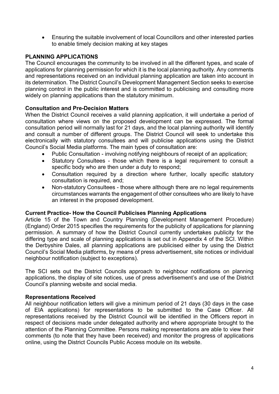Ensuring the suitable involvement of local Councillors and other interested parties to enable timely decision making at key stages

## PLANNING APPLICATIONS

The Council encourages the community to be involved in all the different types, and scale of applications for planning permission for which it is the local planning authority. Any comments and representations received on an individual planning application are taken into account in its determination. The District Council's Development Management Section seeks to exercise planning control in the public interest and is committed to publicising and consulting more widely on planning applications than the statutory minimum.

## Consultation and Pre-Decision Matters

When the District Council receives a valid planning application, it will undertake a period of consultation where views on the proposed development can be expressed. The formal consultation period will normally last for 21 days, and the local planning authority will identify and consult a number of different groups. The District Council will seek to undertake this electronically with statutory consultees and will publicise applications using the District Council's Social Media platforms. The main types of consultation are:

- Public Consultation involving notifying neighbours of receipt of an application;
- Statutory Consultees those which there is a legal requirement to consult a specific body who are then under a duty to respond;
- Consultation required by a direction where further, locally specific statutory consultation is required, and;
- Non-statutory Consultees those where although there are no legal requirements circumstances warrants the engagement of other consultees who are likely to have an interest in the proposed development.

## Current Practice- How the Council Publicises Planning Applications

Article 15 of the Town and Country Planning (Development Management Procedure) (England) Order 2015 specifies the requirements for the publicity of applications for planning permission. A summary of how the District Council currently undertakes publicity for the differing type and scale of planning applications is set out in Appendix 4 of the SCI. Within the Derbyshire Dales, all planning applications are publicised either by using the District Council's Social Media platforms, by means of press advertisement, site notices or individual neighbour notification (subject to exceptions).

The SCI sets out the District Councils approach to neighbour notifications on planning applications, the display of site notices, use of press advertisement's and use of the District Council's planning website and social media.

## Representations Received

All neighbour notification letters will give a minimum period of 21 days (30 days in the case of EIA applications) for representations to be submitted to the Case Officer. All representations received by the District Council will be identified in the Officers report in respect of decisions made under delegated authority and where appropriate brought to the attention of the Planning Committee. Persons making representations are able to view their comments (to note that they have been received) and monitor the progress of applications online, using the District Councils Public Access module on its website.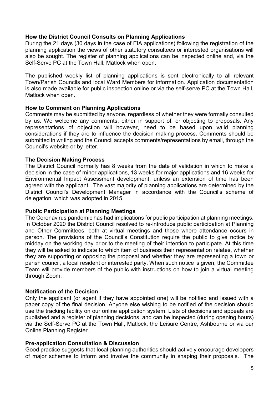#### How the District Council Consults on Planning Applications

During the 21 days (30 days in the case of EIA applications) following the registration of the planning application the views of other statutory consultees or interested organisations will also be sought. The register of planning applications can be inspected online and, via the Self-Serve PC at the Town Hall, Matlock when open.

The published weekly list of planning applications is sent electronically to all relevant Town/Parish Councils and local Ward Members for information. Application documentation is also made available for public inspection online or via the self-serve PC at the Town Hall, Matlock when open.

#### How to Comment on Planning Applications

Comments may be submitted by anyone, regardless of whether they were formally consulted by us. We welcome any comments, either in support of, or objecting to proposals. Any representations of objection will however, need to be based upon valid planning considerations if they are to influence the decision making process. Comments should be submitted in writing and the Council accepts comments/representations by email, through the Council's website or by letter.

#### The Decision Making Process

The District Council normally has 8 weeks from the date of validation in which to make a decision in the case of minor applications, 13 weeks for major applications and 16 weeks for Environmental Impact Assessment development, unless an extension of time has been agreed with the applicant. The vast majority of planning applications are determined by the District Council's Development Manager in accordance with the Council's scheme of delegation, which was adopted in 2015.

#### Public Participation at Planning Meetings

The Coronavirus pandemic has had implications for public participation at planning meetings. In October 2020 the District Council resolved to re-introduce public participation at Planning and Other Committees, both at virtual meetings and those where attendance occurs in person. The provisions of the Council's Constitution require the public to give notice by midday on the working day prior to the meeting of their intention to participate. At this time they will be asked to indicate to which item of business their representation relates, whether they are supporting or opposing the proposal and whether they are representing a town or parish council, a local resident or interested party. When such notice is given, the Committee Team will provide members of the public with instructions on how to join a virtual meeting through Zoom.

#### Notification of the Decision

Only the applicant (or agent if they have appointed one) will be notified and issued with a paper copy of the final decision. Anyone else wishing to be notified of the decision should use the tracking facility on our online application system. Lists of decisions and appeals are published and a register of planning decisions and can be inspected (during opening hours) via the Self-Serve PC at the Town Hall, Matlock, the Leisure Centre, Ashbourne or via our Online Planning Register.

#### Pre-application Consultation & Discussion

Good practice suggests that local planning authorities should actively encourage developers of major schemes to inform and involve the community in shaping their proposals. The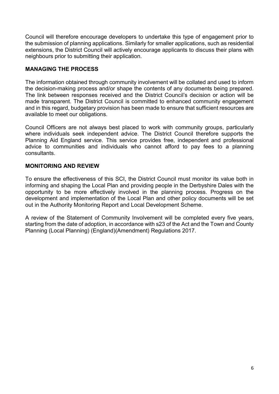Council will therefore encourage developers to undertake this type of engagement prior to the submission of planning applications. Similarly for smaller applications, such as residential extensions, the District Council will actively encourage applicants to discuss their plans with neighbours prior to submitting their application.

## MANAGING THE PROCESS

The information obtained through community involvement will be collated and used to inform the decision-making process and/or shape the contents of any documents being prepared. The link between responses received and the District Council's decision or action will be made transparent. The District Council is committed to enhanced community engagement and in this regard, budgetary provision has been made to ensure that sufficient resources are available to meet our obligations.

Council Officers are not always best placed to work with community groups, particularly where individuals seek independent advice. The District Council therefore supports the Planning Aid England service. This service provides free, independent and professional advice to communities and individuals who cannot afford to pay fees to a planning consultants.

## MONITORING AND REVIEW

To ensure the effectiveness of this SCI, the District Council must monitor its value both in informing and shaping the Local Plan and providing people in the Derbyshire Dales with the opportunity to be more effectively involved in the planning process. Progress on the development and implementation of the Local Plan and other policy documents will be set out in the Authority Monitoring Report and Local Development Scheme.

A review of the Statement of Community Involvement will be completed every five years, starting from the date of adoption, in accordance with s23 of the Act and the Town and County Planning (Local Planning) (England)(Amendment) Regulations 2017.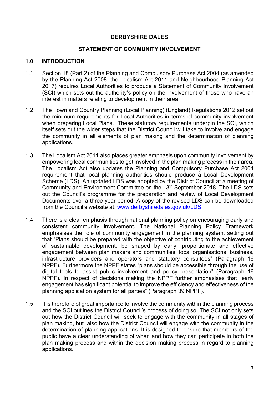#### DERBYSHIRE DALES

#### STATEMENT OF COMMUNITY INVOLVEMENT

#### 1.0 INTRODUCTION

- 1.1 Section 18 (Part 2) of the Planning and Compulsory Purchase Act 2004 (as amended by the Planning Act 2008, the Localism Act 2011 and Neighbourhood Planning Act 2017) requires Local Authorities to produce a Statement of Community Involvement (SCI) which sets out the authority's policy on the involvement of those who have an interest in matters relating to development in their area.
- 1.2 The Town and Country Planning (Local Planning) (England) Regulations 2012 set out the minimum requirements for Local Authorities in terms of community involvement when preparing Local Plans. These statutory requirements underpin the SCI, which itself sets out the wider steps that the District Council will take to involve and engage the community in all elements of plan making and the determination of planning applications.
- 1.3 The Localism Act 2011 also places greater emphasis upon community involvement by empowering local communities to get involved in the plan making process in their area. The Localism Act also updates the Planning and Compulsory Purchase Act 2004 requirement that local planning authorities should produce a Local Development Scheme (LDS). An updated LDS was adopted by the District Council at a meeting of Community and Environment Committee on the 13th September 2018. The LDS sets out the Council's programme for the preparation and review of Local Development Documents over a three year period. A copy of the revised LDS can be downloaded from the Council's website at: www.derbyshiredales.gov.uk/LDS
- 1.4 There is a clear emphasis through national planning policy on encouraging early and consistent community involvement. The National Planning Policy Framework emphasises the role of community engagement in the planning system, setting out that "Plans should be prepared with the objective of contributing to the achievement of sustainable development, be shaped by early, proportionate and effective engagement between plan makers and communities, local organisations, business, infrastructure providers and operators and statutory consultees" (Paragraph 16 NPPF). Furthermore the NPPF states "plans should be accessible through the use of digital tools to assist public involvement and policy presentation" (Paragraph 16 NPPF). In respect of decisions making the NPPF further emphasises that "early engagement has significant potential to improve the efficiency and effectiveness of the planning application system for all parties" (Paragraph 39 NPPF).
- 1.5 It is therefore of great importance to involve the community within the planning process and the SCI outlines the District Council's process of doing so. The SCI not only sets out how the District Council will seek to engage with the community in all stages of plan making, but also how the District Council will engage with the community in the determination of planning applications. It is designed to ensure that members of the public have a clear understanding of when and how they can participate in both the plan making process and within the decision making process in regard to planning applications.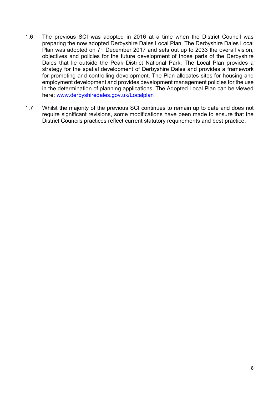- 1.6 The previous SCI was adopted in 2016 at a time when the District Council was preparing the now adopted Derbyshire Dales Local Plan. The Derbyshire Dales Local Plan was adopted on  $7<sup>th</sup>$  December 2017 and sets out up to 2033 the overall vision, objectives and policies for the future development of those parts of the Derbyshire Dales that lie outside the Peak District National Park. The Local Plan provides a strategy for the spatial development of Derbyshire Dales and provides a framework for promoting and controlling development. The Plan allocates sites for housing and employment development and provides development management policies for the use in the determination of planning applications. The Adopted Local Plan can be viewed here: www.derbyshiredales.gov.uk/Localplan
- 1.7 Whilst the majority of the previous SCI continues to remain up to date and does not require significant revisions, some modifications have been made to ensure that the District Councils practices reflect current statutory requirements and best practice.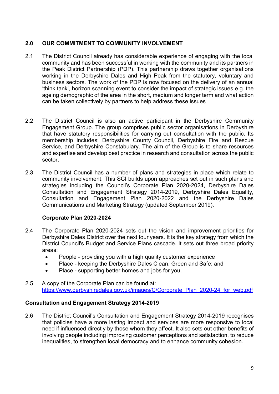## 2.0 OUR COMMITMENT TO COMMUNITY INVOLVEMENT

- 2.1 The District Council already has considerable experience of engaging with the local community and has been successful in working with the community and its partners in the Peak District Partnership (PDP). This partnership draws together organisations working in the Derbyshire Dales and High Peak from the statutory, voluntary and business sectors. The work of the PDP is now focused on the delivery of an annual 'think tank', horizon scanning event to consider the impact of strategic issues e.g. the ageing demographic of the area in the short, medium and longer term and what action can be taken collectively by partners to help address these issues
- 2.2 The District Council is also an active participant in the Derbyshire Community Engagement Group. The group comprises public sector organisations in Derbyshire that have statutory responsibilities for carrying out consultation with the public. Its membership includes; Derbyshire County Council, Derbyshire Fire and Rescue Service, and Derbyshire Constabulary. The aim of the Group is to share resources and expertise and develop best practice in research and consultation across the public sector.
- 2.3 The District Council has a number of plans and strategies in place which relate to community involvement. This SCI builds upon approaches set out in such plans and strategies including the Council's Corporate Plan 2020-2024, Derbyshire Dales Consultation and Engagement Strategy 2014-2019, Derbyshire Dales Equality, Consultation and Engagement Plan 2020-2022 and the Derbyshire Dales Communications and Marketing Strategy (updated September 2019).

#### Corporate Plan 2020-2024

- 2.4 The Corporate Plan 2020-2024 sets out the vision and improvement priorities for Derbyshire Dales District over the next four years. It is the key strategy from which the District Council's Budget and Service Plans cascade. It sets out three broad priority areas:
	- People providing you with a high quality customer experience
	- Place keeping the Derbyshire Dales Clean, Green and Safe; and
	- Place supporting better homes and jobs for you.
- 2.5 A copy of the Corporate Plan can be found at: https://www.derbyshiredales.gov.uk/images/C/Corporate\_Plan\_2020-24\_for\_web.pdf

## Consultation and Engagement Strategy 2014-2019

2.6 The District Council's Consultation and Engagement Strategy 2014-2019 recognises that policies have a more lasting impact and services are more responsive to local need if influenced directly by those whom they affect. It also sets out other benefits of involving people including improving customer perceptions and satisfaction, to reduce inequalities, to strengthen local democracy and to enhance community cohesion.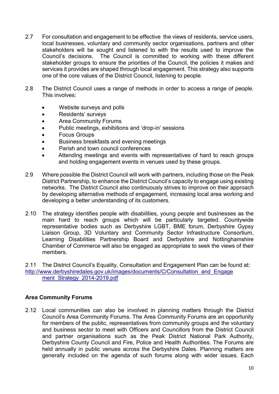- 2.7 For consultation and engagement to be effective the views of residents, service users, local businesses, voluntary and community sector organisations, partners and other stakeholders will be sought and listened to with the results used to improve the Council's decisions. The Council is committed to working with these different stakeholder groups to ensure the priorities of the Council, the policies it makes and services it provides are shaped through local engagement. This strategy also supports one of the core values of the District Council, listening to people.
- 2.8 The District Council uses a range of methods in order to access a range of people. This involves:
	- Website surveys and polls
	- Residents' surveys
	- Area Community Forums
	- Public meetings, exhibitions and 'drop-in' sessions
	- Focus Groups
	- Business breakfasts and evening meetings
	- Parish and town council conferences
	- Attending meetings and events with representatives of hard to reach groups and holding engagement events in venues used by these groups.
- 2.9 Where possible the District Council will work with partners, including those on the Peak District Partnership, to enhance the District Council's capacity to engage using existing networks. The District Council also continuously strives to improve on their approach by developing alternative methods of engagement, increasing local area working and developing a better understanding of its customers.
- 2.10 The strategy identifies people with disabilities, young people and businesses as the main hard to reach groups which will be particularly targeted. Countywide representative bodies such as Derbyshire LGBT, BME forum, Derbyshire Gypsy Liaison Group, 3D Voluntary and Community Sector Infrastructure Consortium, Learning Disabilities Partnership Board and Derbyshire and Nottinghamshire Chamber of Commerce will also be engaged as appropriate to seek the views of their members.

2.11 The District Council's Equality, Consultation and Engagement Plan can be found at: http://www.derbyshiredales.gov.uk/images/documents/C/Consultation\_and\_Engage ment Strategy 2014-2019.pdf

#### Area Community Forums

2.12 Local communities can also be involved in planning matters through the District Council's Area Community Forums. The Area Community Forums are an opportunity for members of the public, representatives from community groups and the voluntary and business sector to meet with Officers and Councillors from the District Council and partner organisations such as the Peak District National Park Authority, Derbyshire County Council and Fire, Police and Health Authorities. The Forums are held annually in public venues across the Derbyshire Dales. Planning matters are generally included on the agenda of such forums along with wider issues. Each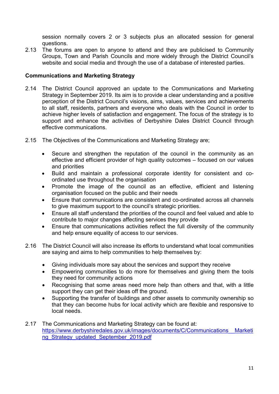session normally covers 2 or 3 subjects plus an allocated session for general questions.

2.13 The forums are open to anyone to attend and they are publicised to Community Groups, Town and Parish Councils and more widely through the District Council's website and social media and through the use of a database of interested parties.

## Communications and Marketing Strategy

- 2.14 The District Council approved an update to the Communications and Marketing Strategy in September 2019. Its aim is to provide a clear understanding and a positive perception of the District Council's visions, aims, values, services and achievements to all staff, residents, partners and everyone who deals with the Council in order to achieve higher levels of satisfaction and engagement. The focus of the strategy is to support and enhance the activities of Derbyshire Dales District Council through effective communications.
- 2.15 The Objectives of the Communications and Marketing Strategy are;
	- Secure and strengthen the reputation of the council in the community as an effective and efficient provider of high quality outcomes – focused on our values and priorities
	- Build and maintain a professional corporate identity for consistent and coordinated use throughout the organisation
	- Promote the image of the council as an effective, efficient and listening organisation focused on the public and their needs
	- Ensure that communications are consistent and co-ordinated across all channels to give maximum support to the council's strategic priorities.
	- Ensure all staff understand the priorities of the council and feel valued and able to contribute to major changes affecting services they provide
	- Ensure that communications activities reflect the full diversity of the community and help ensure equality of access to our services.
- 2.16 The District Council will also increase its efforts to understand what local communities are saying and aims to help communities to help themselves by:
	- Giving individuals more say about the services and support they receive
	- Empowering communities to do more for themselves and giving them the tools they need for community actions
	- Recognising that some areas need more help than others and that, with a little support they can get their ideas off the ground.
	- Supporting the transfer of buildings and other assets to community ownership so that they can become hubs for local activity which are flexible and responsive to local needs.
- 2.17 The Communications and Marketing Strategy can be found at: https://www.derbyshiredales.gov.uk/images/documents/C/Communications\_\_Marketi ng\_Strategy\_updated\_September\_2019.pdf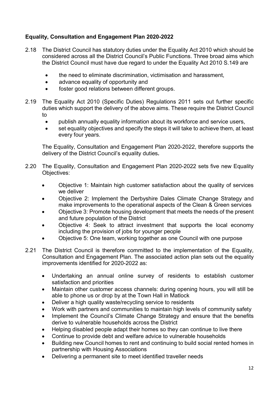## Equality, Consultation and Engagement Plan 2020-2022

- 2.18 The District Council has statutory duties under the Equality Act 2010 which should be considered across all the District Council's Public Functions. Three broad aims which the District Council must have due regard to under the Equality Act 2010 S.149 are
	- the need to eliminate discrimination, victimisation and harassment,
	- advance equality of opportunity and
	- foster good relations between different groups.
- 2.19 The Equality Act 2010 (Specific Duties) Regulations 2011 sets out further specific duties which support the delivery of the above aims. These require the District Council to
	- publish annually equality information about its workforce and service users,
	- set equality objectives and specify the steps it will take to achieve them, at least every four years.

The Equality, Consultation and Engagement Plan 2020-2022, therefore supports the delivery of the District Council's equality duties.

- 2.20 The Equality, Consultation and Engagement Plan 2020-2022 sets five new Equality Objectives:
	- Objective 1: Maintain high customer satisfaction about the quality of services we deliver
	- Objective 2: Implement the Derbyshire Dales Climate Change Strategy and make improvements to the operational aspects of the Clean & Green services
	- Objective 3: Promote housing development that meets the needs of the present and future population of the District
	- Objective 4: Seek to attract investment that supports the local economy including the provision of jobs for younger people
	- Objective 5: One team, working together as one Council with one purpose
- 2.21 The District Council is therefore committed to the implementation of the Equality, Consultation and Engagement Plan. The associated action plan sets out the equality improvements identified for 2020-2022 as:
	- Undertaking an annual online survey of residents to establish customer satisfaction and priorities
	- Maintain other customer access channels: during opening hours, you will still be able to phone us or drop by at the Town Hall in Matlock
	- Deliver a high quality waste/recycling service to residents
	- Work with partners and communities to maintain high levels of community safety
	- Implement the Council's Climate Change Strategy and ensure that the benefits derive to vulnerable households across the District
	- Helping disabled people adapt their homes so they can continue to live there
	- Continue to provide debt and welfare advice to vulnerable households
	- Building new Council homes to rent and continuing to build social rented homes in partnership with Housing Associations
	- Delivering a permanent site to meet identified traveller needs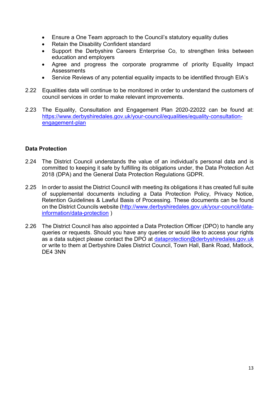- Ensure a One Team approach to the Council's statutory equality duties
- Retain the Disability Confident standard
- Support the Derbyshire Careers Enterprise Co, to strengthen links between education and employers
- Agree and progress the corporate programme of priority Equality Impact **Assessments**
- Service Reviews of any potential equality impacts to be identified through EIA's
- 2.22 Equalities data will continue to be monitored in order to understand the customers of council services in order to make relevant improvements.
- 2.23 The Equality, Consultation and Engagement Plan 2020-22022 can be found at: https://www.derbyshiredales.gov.uk/your-council/equalities/equality-consultationengagement-plan

## Data Protection

- 2.24 The District Council understands the value of an individual's personal data and is committed to keeping it safe by fulfilling its obligations under, the Data Protection Act 2018 (DPA) and the General Data Protection Regulations GDPR.
- 2.25 In order to assist the District Council with meeting its obligations it has created full suite of supplemental documents including a Data Protection Policy, Privacy Notice, Retention Guidelines & Lawful Basis of Processing. These documents can be found on the District Councils website (http://www.derbyshiredales.gov.uk/your-council/datainformation/data-protection )
- 2.26 The District Council has also appointed a Data Protection Officer (DPO) to handle any queries or requests. Should you have any queries or would like to access your rights as a data subject please contact the DPO at dataprotection@derbyshiredales.gov.uk or write to them at Derbyshire Dales District Council, Town Hall, Bank Road, Matlock, DE4 3NN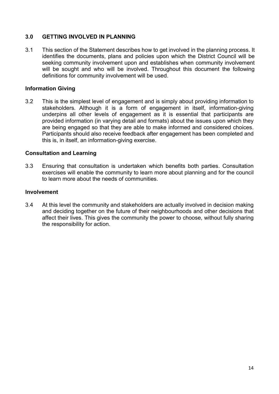## 3.0 GETTING INVOLVED IN PLANNING

3.1 This section of the Statement describes how to get involved in the planning process. It identifies the documents, plans and policies upon which the District Council will be seeking community involvement upon and establishes when community involvement will be sought and who will be involved. Throughout this document the following definitions for community involvement will be used.

## Information Giving

3.2 This is the simplest level of engagement and is simply about providing information to stakeholders. Although it is a form of engagement in itself, information-giving underpins all other levels of engagement as it is essential that participants are provided information (in varying detail and formats) about the issues upon which they are being engaged so that they are able to make informed and considered choices. Participants should also receive feedback after engagement has been completed and this is, in itself, an information-giving exercise.

## Consultation and Learning

3.3 Ensuring that consultation is undertaken which benefits both parties. Consultation exercises will enable the community to learn more about planning and for the council to learn more about the needs of communities.

#### Involvement

3.4 At this level the community and stakeholders are actually involved in decision making and deciding together on the future of their neighbourhoods and other decisions that affect their lives. This gives the community the power to choose, without fully sharing the responsibility for action.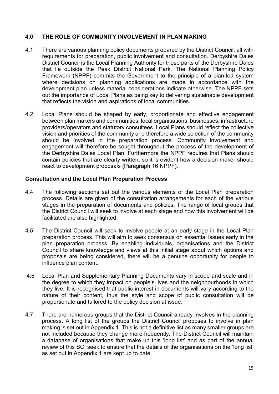## 4.0 THE ROLE OF COMMUNITY INVOLVEMENT IN PLAN MAKING

- 4.1 There are various planning policy documents prepared by the District Council, all with requirements for preparation, public involvement and consultation. Derbyshire Dales District Council is the Local Planning Authority for those parts of the Derbyshire Dales that lie outside the Peak District National Park. The National Planning Policy Framework (NPPF) commits the Government to the principle of a plan-led system where decisions on planning applications are made in accordance with the development plan unless material considerations indicate otherwise. The NPPF sets out the importance of Local Plans as being key to delivering sustainable development that reflects the vision and aspirations of local communities.
- 4.2 Local Plans should be shaped by early, proportionate and effective engagement between plan makers and communities, local organisations, businesses, infrastructure providers/operators and statutory consultees. Local Plans should reflect the collective vision and priorities of the community and therefore a wide selection of the community should be involved in the preparation process. Community involvement and engagement will therefore be sought throughout the process of the development of the Derbyshire Dales Local Plan. Furthermore the NPPF requires that Plans should contain policies that are clearly written, so it is evident how a decision maker should react to development proposals (Paragraph 16 NPPF).

#### Consultation and the Local Plan Preparation Process

- 4.4 The following sections set out the various elements of the Local Plan preparation process. Details are given of the consultation arrangements for each of the various stages in the preparation of documents and policies. The range of local groups that the District Council will seek to involve at each stage and how this involvement will be facilitated are also highlighted.
- 4.5 The District Council will seek to involve people at an early stage in the Local Plan preparation process. This will aim to seek consensus on essential issues early in the plan preparation process. By enabling individuals, organisations and the District Council to share knowledge and views at this initial stage about which options and proposals are being considered, there will be a genuine opportunity for people to influence plan content.
- 4.6 Local Plan and Supplementary Planning Documents vary in scope and scale and in the degree to which they impact on people's lives and the neighbourhoods in which they live. It is recognised that public interest in documents will vary according to the nature of their content, thus the style and scope of public consultation will be proportionate and tailored to the policy decision at issue.
- 4.7 There are numerous groups that the District Council already involves in the planning process. A long list of the groups the District Council proposes to involve in plan making is set out in Appendix 1. This is not a definitive list as many smaller groups are not included because they change more frequently. The District Council will maintain a database of organisations that make up this 'long list' and as part of the annual review of this SCI seek to ensure that the details of the organisations on the 'long list' as set out in Appendix 1 are kept up to date.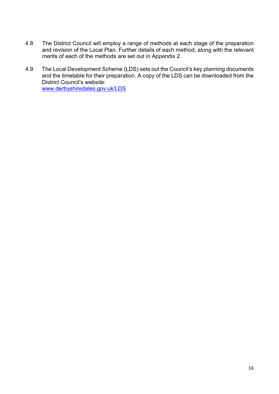- 4.8 The District Council will employ a range of methods at each stage of the preparation and revision of the Local Plan. Further details of each method, along with the relevant merits of each of the methods are set out in Appendix 2.
- 4.9 The Local Development Scheme (LDS) sets out the Council's key planning documents and the timetable for their preparation. A copy of the LDS can be downloaded from the District Council's website: www.derbyshiredales.gov.uk/LDS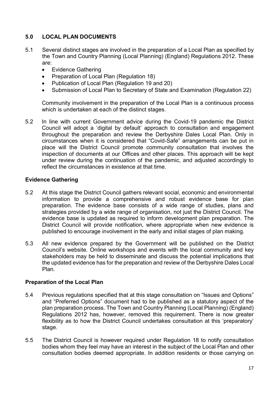## 5.0 LOCAL PLAN DOCUMENTS

- 5.1 Several distinct stages are involved in the preparation of a Local Plan as specified by the Town and Country Planning (Local Planning) (England) Regulations 2012. These are:
	- Evidence Gathering
	- Preparation of Local Plan (Regulation 18)
	- Publication of Local Plan (Regulation 19 and 20)
	- Submission of Local Plan to Secretary of State and Examination (Regulation 22)

Community involvement in the preparation of the Local Plan is a continuous process which is undertaken at each of the distinct stages.

5.2 In line with current Government advice during the Covid-19 pandemic the District Council will adopt a 'digital by default' approach to consultation and engagement throughout the preparation and review the Derbyshire Dales Local Plan. Only in circumstances when it is considered that "Covid-Safe" arrangements can be put in place will the District Council promote community consultation that involves the inspection of documents at our Offices and other places. This approach will be kept under review during the continuation of the pandemic, and adjusted accordingly to reflect the circumstances in existence at that time.

## Evidence Gathering

- 5.2 At this stage the District Council gathers relevant social, economic and environmental information to provide a comprehensive and robust evidence base for plan preparation. The evidence base consists of a wide range of studies, plans and strategies provided by a wide range of organisation, not just the District Council. The evidence base is updated as required to inform development plan preparation. The District Council will provide notification, where appropriate when new evidence is published to encourage involvement in the early and initial stages of plan making.
- 5.3 All new evidence prepared by the Government will be published on the District Council's website. Online workshops and events with the local community and key stakeholders may be held to disseminate and discuss the potential implications that the updated evidence has for the preparation and review of the Derbyshire Dales Local Plan.

#### Preparation of the Local Plan

- 5.4 Previous regulations specified that at this stage consultation on "Issues and Options" and "Preferred Options" document had to be published as a statutory aspect of the plan preparation process. The Town and Country Planning (Local Planning) (England) Regulations 2012 has, however, removed this requirement. There is now greater flexibility as to how the District Council undertakes consultation at this 'preparatory' stage.
- 5.5 The District Council is however required under Regulation 18 to notify consultation bodies whom they feel may have an interest in the subject of the Local Plan and other consultation bodies deemed appropriate. In addition residents or those carrying on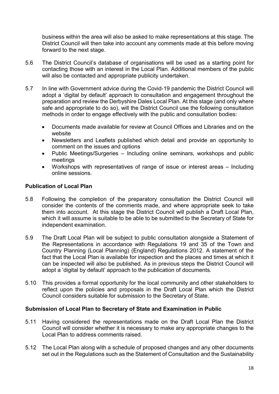business within the area will also be asked to make representations at this stage. The District Council will then take into account any comments made at this before moving forward to the next stage.

- 5.6 The District Council's database of organisations will be used as a starting point for contacting those with an interest in the Local Plan. Additional members of the public will also be contacted and appropriate publicity undertaken.
- 5.7 In line with Government advice during the Covid-19 pandemic the District Council will adopt a 'digital by default' approach to consultation and engagement throughout the preparation and review the Derbyshire Dales Local Plan. At this stage (and only where safe and appropriate to do so), will the District Council use the following consultation methods in order to engage effectively with the public and consultation bodies:
	- Documents made available for review at Council Offices and Libraries and on the website
	- Newsletters and Leaflets published which detail and provide an opportunity to comment on the issues and options
	- Public Meetings/Surgeries Including online seminars, workshops and public meetings
	- Workshops with representatives of range of issue or interest areas Including online sessions.

## Publication of Local Plan

- 5.8 Following the completion of the preparatory consultation the District Council will consider the contents of the comments made, and where appropriate seek to take them into account. At this stage the District Council will publish a Draft Local Plan, which it will assume is suitable to be able to be submitted to the Secretary of State for independent examination.
- 5.9 The Draft Local Plan will be subject to public consultation alongside a Statement of the Representations in accordance with Regulations 19 and 35 of the Town and Country Planning (Local Planning) (England) Regulations 2012. A statement of the fact that the Local Plan is available for inspection and the places and times at which it can be inspected will also be published. As in previous steps the District Council will adopt a 'digital by default' approach to the publication of documents.
- 5.10 This provides a formal opportunity for the local community and other stakeholders to reflect upon the policies and proposals in the Draft Local Plan which the District Council considers suitable for submission to the Secretary of State.

#### Submission of Local Plan to Secretary of State and Examination in Public

- 5.11 Having considered the representations made on the Draft Local Plan the District Council will consider whether it is necessary to make any appropriate changes to the Local Plan to address comments raised.
- 5.12 The Local Plan along with a schedule of proposed changes and any other documents set out in the Regulations such as the Statement of Consultation and the Sustainability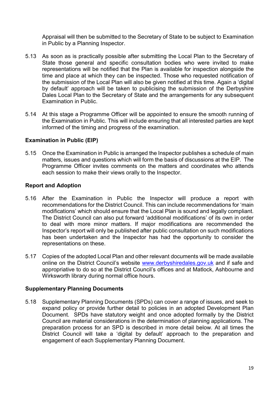Appraisal will then be submitted to the Secretary of State to be subject to Examination in Public by a Planning Inspector.

- 5.13 As soon as is practically possible after submitting the Local Plan to the Secretary of State those general and specific consultation bodies who were invited to make representations will be notified that the Plan is available for inspection alongside the time and place at which they can be inspected. Those who requested notification of the submission of the Local Plan will also be given notified at this time. Again a 'digital by default' approach will be taken to publicising the submission of the Derbyshire Dales Local Plan to the Secretary of State and the arrangements for any subsequent Examination in Public.
- 5.14 At this stage a Programme Officer will be appointed to ensure the smooth running of the Examination in Public. This will include ensuring that all interested parties are kept informed of the timing and progress of the examination.

## Examination in Public (EIP)

5.15 Once the Examination in Public is arranged the Inspector publishes a schedule of main matters, issues and questions which will form the basis of discussions at the EIP. The Programme Officer invites comments on the matters and coordinates who attends each session to make their views orally to the Inspector.

#### Report and Adoption

- 5.16 After the Examination in Public the Inspector will produce a report with recommendations for the District Council. This can include recommendations for 'main modifications' which should ensure that the Local Plan is sound and legally compliant. The District Council can also put forward 'additional modifications' of its own in order to deal with more minor matters. If major modifications are recommended the Inspector's report will only be published after public consultation on such modifications has been undertaken and the Inspector has had the opportunity to consider the representations on these.
- 5.17 Copies of the adopted Local Plan and other relevant documents will be made available online on the District Council's website www.derbyshiredales.gov.uk and if safe and appropriative to do so at the District Council's offices and at Matlock, Ashbourne and Wirksworth library during normal office hours.

## Supplementary Planning Documents

5.18 Supplementary Planning Documents (SPDs) can cover a range of issues, and seek to expand policy or provide further detail to policies in an adopted Development Plan Document. SPDs have statutory weight and once adopted formally by the District Council are material considerations in the determination of planning applications. The preparation process for an SPD is described in more detail below. At all times the District Council will take a 'digital by default' approach to the preparation and engagement of each Supplementary Planning Document.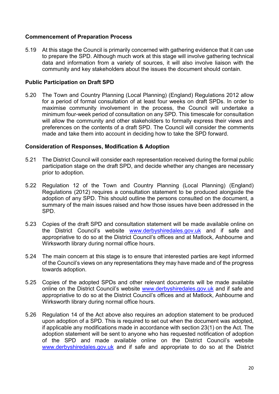## Commencement of Preparation Process

5.19 At this stage the Council is primarily concerned with gathering evidence that it can use to prepare the SPD. Although much work at this stage will involve gathering technical data and information from a variety of sources, it will also involve liaison with the community and key stakeholders about the issues the document should contain.

## Public Participation on Draft SPD

5.20 The Town and Country Planning (Local Planning) (England) Regulations 2012 allow for a period of formal consultation of at least four weeks on draft SPDs. In order to maximise community involvement in the process, the Council will undertake a minimum four-week period of consultation on any SPD. This timescale for consultation will allow the community and other stakeholders to formally express their views and preferences on the contents of a draft SPD. The Council will consider the comments made and take them into account in deciding how to take the SPD forward.

#### Consideration of Responses, Modification & Adoption

- 5.21 The District Council will consider each representation received during the formal public participation stage on the draft SPD, and decide whether any changes are necessary prior to adoption.
- 5.22 Regulation 12 of the Town and Country Planning (Local Planning) (England) Regulations (2012) requires a consultation statement to be produced alongside the adoption of any SPD. This should outline the persons consulted on the document, a summary of the main issues raised and how those issues have been addressed in the SPD.
- 5.23 Copies of the draft SPD and consultation statement will be made available online on the District Council's website www.derbyshiredales.gov.uk and if safe and appropriative to do so at the District Council's offices and at Matlock, Ashbourne and Wirksworth library during normal office hours.
- 5.24 The main concern at this stage is to ensure that interested parties are kept informed of the Council's views on any representations they may have made and of the progress towards adoption.
- 5.25 Copies of the adopted SPDs and other relevant documents will be made available online on the District Council's website www.derbyshiredales.gov.uk and if safe and appropriative to do so at the District Council's offices and at Matlock, Ashbourne and Wirksworth library during normal office hours.
- 5.26 Regulation 14 of the Act above also requires an adoption statement to be produced upon adoption of a SPD. This is required to set out when the document was adopted, if applicable any modifications made in accordance with section 23(1) on the Act. The adoption statement will be sent to anyone who has requested notification of adoption of the SPD and made available online on the District Council's website www.derbyshiredales.gov.uk and if safe and appropriate to do so at the District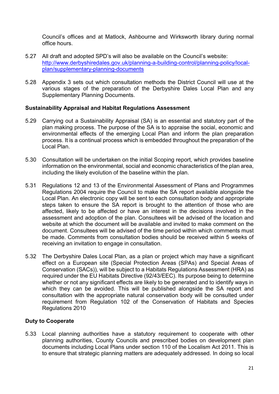Council's offices and at Matlock, Ashbourne and Wirksworth library during normal office hours.

- 5.27 All draft and adopted SPD's will also be available on the Council's website: http://www.derbyshiredales.gov.uk/planning-a-building-control/planning-policy/localplan/supplementary-planning-documents
- 5.28 Appendix 3 sets out which consultation methods the District Council will use at the various stages of the preparation of the Derbyshire Dales Local Plan and any Supplementary Planning Documents.

#### Sustainability Appraisal and Habitat Regulations Assessment

- 5.29 Carrying out a Sustainability Appraisal (SA) is an essential and statutory part of the plan making process. The purpose of the SA is to appraise the social, economic and environmental effects of the emerging Local Plan and inform the plan preparation process. It is a continual process which is embedded throughout the preparation of the Local Plan.
- 5.30 Consultation will be undertaken on the initial Scoping report, which provides baseline information on the environmental, social and economic characteristics of the plan area, including the likely evolution of the baseline within the plan.
- 5.31 Regulations 12 and 13 of the Environmental Assessment of Plans and Programmes Regulations 2004 require the Council to make the SA report available alongside the Local Plan. An electronic copy will be sent to each consultation body and appropriate steps taken to ensure the SA report is brought to the attention of those who are affected, likely to be affected or have an interest in the decisions involved in the assessment and adoption of the plan. Consultees will be advised of the location and website at which the document will be available and invited to make comment on the document. Consultees will be advised of the time period within which comments must be made. Comments from consultation bodies should be received within 5 weeks of receiving an invitation to engage in consultation.
- 5.32 The Derbyshire Dales Local Plan, as a plan or project which may have a significant effect on a European site (Special Protection Areas (SPAs) and Special Areas of Conservation (SACs)), will be subject to a Habitats Regulations Assessment (HRA) as required under the EU Habitats Directive (92/43/EEC). Its purpose being to determine whether or not any significant effects are likely to be generated and to identify ways in which they can be avoided. This will be published alongside the SA report and consultation with the appropriate natural conservation body will be consulted under requirement from Regulation 102 of the Conservation of Habitats and Species Regulations 2010

## Duty to Cooperate

5.33 Local planning authorities have a statutory requirement to cooperate with other planning authorities, County Councils and prescribed bodies on development plan documents including Local Plans under section 110 of the Localism Act 2011. This is to ensure that strategic planning matters are adequately addressed. In doing so local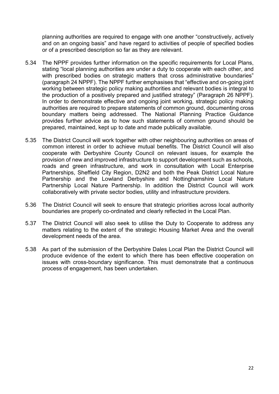planning authorities are required to engage with one another "constructively, actively and on an ongoing basis" and have regard to activities of people of specified bodies or of a prescribed description so far as they are relevant.

- 5.34 The NPPF provides further information on the specific requirements for Local Plans, stating "local planning authorities are under a duty to cooperate with each other, and with prescribed bodies on strategic matters that cross administrative boundaries" (paragraph 24 NPPF). The NPPF further emphasises that "effective and on-going joint working between strategic policy making authorities and relevant bodies is integral to the production of a positively prepared and justified strategy" (Paragraph 26 NPPF). In order to demonstrate effective and ongoing joint working, strategic policy making authorities are required to prepare statements of common ground, documenting cross boundary matters being addressed. The National Planning Practice Guidance provides further advice as to how such statements of common ground should be prepared, maintained, kept up to date and made publically available.
- 5.35 The District Council will work together with other neighbouring authorities on areas of common interest in order to achieve mutual benefits. The District Council will also cooperate with Derbyshire County Council on relevant issues, for example the provision of new and improved infrastructure to support development such as schools, roads and green infrastructure, and work in consultation with Local Enterprise Partnerships, Sheffield City Region, D2N2 and both the Peak District Local Nature Partnership and the Lowland Derbyshire and Nottinghamshire Local Nature Partnership Local Nature Partnership. In addition the District Council will work collaboratively with private sector bodies, utility and infrastructure providers.
- 5.36 The District Council will seek to ensure that strategic priorities across local authority boundaries are properly co-ordinated and clearly reflected in the Local Plan.
- 5.37 The District Council will also seek to utilise the Duty to Cooperate to address any matters relating to the extent of the strategic Housing Market Area and the overall development needs of the area.
- 5.38 As part of the submission of the Derbyshire Dales Local Plan the District Council will produce evidence of the extent to which there has been effective cooperation on issues with cross-boundary significance. This must demonstrate that a continuous process of engagement, has been undertaken.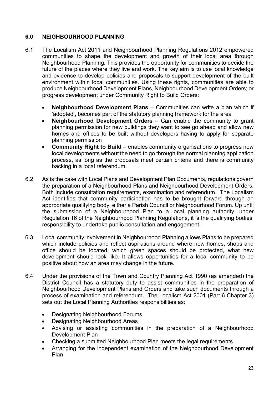## 6.0 NEIGHBOURHOOD PLANNING

- 6.1 The Localism Act 2011 and Neighbourhood Planning Regulations 2012 empowered communities to shape the development and growth of their local area through Neighbourhood Planning. This provides the opportunity for communities to decide the future of the places where they live and work. The key aim is to use local knowledge and evidence to develop policies and proposals to support development of the built environment within local communities. Using these rights, communities are able to produce Neighbourhood Development Plans, Neighbourhood Development Orders; or progress development under Community Right to Build Orders:
	- Neighbourhood Development Plans Communities can write a plan which if 'adopted', becomes part of the statutory planning framework for the area
	- Neighbourhood Development Orders Can enable the community to grant planning permission for new buildings they want to see go ahead and allow new homes and offices to be built without developers having to apply for separate planning permission
	- Community Right to Build enables community organisations to progress new local developments without the need to go through the normal planning application process, as long as the proposals meet certain criteria and there is community backing in a local referendum.
- 6.2 As is the case with Local Plans and Development Plan Documents, regulations govern the preparation of a Neighbourhood Plans and Neighbourhood Development Orders. Both include consultation requirements, examination and referendum. The Localism Act identifies that community participation has to be brought forward through an appropriate qualifying body, either a Parish Council or Neighbourhood Forum. Up until the submission of a Neighbourhood Plan to a local planning authority, under Regulation 16 of the Neighbourhood Planning Regulations, it is the qualifying bodies' responsibility to undertake public consultation and engagement.
- 6.3 Local community involvement in Neighbourhood Planning allows Plans to be prepared which include policies and reflect aspirations around where new homes, shops and office should be located, which green spaces should be protected, what new development should look like. It allows opportunities for a local community to be positive about how an area may change in the future.
- 6.4 Under the provisions of the Town and Country Planning Act 1990 (as amended) the District Council has a statutory duty to assist communities in the preparation of Neighbourhood Development Plans and Orders and take such documents through a process of examination and referendum. The Localism Act 2001 (Part 6 Chapter 3) sets out the Local Planning Authorities responsibilities as:
	- Designating Neighbourhood Forums
	- Designating Neighbourhood Areas
	- Advising or assisting communities in the preparation of a Neighbourhood Development Plan
	- Checking a submitted Neighbourhood Plan meets the legal requirements
	- Arranging for the independent examination of the Neighbourhood Development Plan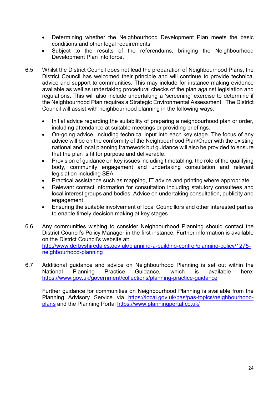- Determining whether the Neighbourhood Development Plan meets the basic conditions and other legal requirements
- Subject to the results of the referendums, bringing the Neighbourhood Development Plan into force.
- 6.5 Whilst the District Council does not lead the preparation of Neighbourhood Plans, the District Council has welcomed their principle and will continue to provide technical advice and support to communities. This may include for instance making evidence available as well as undertaking procedural checks of the plan against legislation and regulations. This will also include undertaking a 'screening' exercise to determine if the Neighbourhood Plan requires a Strategic Environmental Assessment. The District Council will assist with neighbourhood planning in the following ways:
	- Initial advice regarding the suitability of preparing a neighbourhood plan or order, including attendance at suitable meetings or providing briefings.
	- On-going advice, including technical input into each key stage. The focus of any advice will be on the conformity of the Neighbourhood Plan/Order with the existing national and local planning framework but guidance will also be provided to ensure that the plan is fit for purpose and deliverable.
	- Provision of guidance on key issues including timetabling, the role of the qualifying body, community engagement and undertaking consultation and relevant legislation including SEA
	- Practical assistance such as mapping, IT advice and printing where appropriate.
	- Relevant contact information for consultation including statutory consultees and local interest groups and bodies. Advice on undertaking consultation, publicity and engagement.
	- Ensuring the suitable involvement of local Councillors and other interested parties to enable timely decision making at key stages
- 6.6 Any communities wishing to consider Neighbourhood Planning should contact the District Council's Policy Manager in the first instance. Further information is available on the District Council's website at: http://www.derbyshiredales.gov.uk/planning-a-building-control/planning-policy/1275 neighbourhood-planning
- 6.7 Additional guidance and advice on Neighbourhood Planning is set out within the National Planning Practice Guidance, which is available here: https://www.gov.uk/government/collections/planning-practice-guidance

Further guidance for communities on Neighbourhood Planning is available from the Planning Advisory Service via https://local.gov.uk/pas/pas-topics/neighbourhoodplans and the Planning Portal https://www.planningportal.co.uk/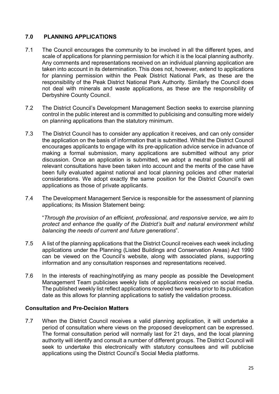## 7.0 PLANNING APPLICATIONS

- 7.1 The Council encourages the community to be involved in all the different types, and scale of applications for planning permission for which it is the local planning authority. Any comments and representations received on an individual planning application are taken into account in its determination. This does not, however, extend to applications for planning permission within the Peak District National Park, as these are the responsibility of the Peak District National Park Authority. Similarly the Council does not deal with minerals and waste applications, as these are the responsibility of Derbyshire County Council.
- 7.2 The District Council's Development Management Section seeks to exercise planning control in the public interest and is committed to publicising and consulting more widely on planning applications than the statutory minimum.
- 7.3 The District Council has to consider any application it receives, and can only consider the application on the basis of information that is submitted. Whilst the District Council encourages applicants to engage with its pre-application advice service in advance of making a formal submission, many applications are submitted without any prior discussion. Once an application is submitted, we adopt a neutral position until all relevant consultations have been taken into account and the merits of the case have been fully evaluated against national and local planning policies and other material considerations. We adopt exactly the same position for the District Council's own applications as those of private applicants.
- 7.4 The Development Management Service is responsible for the assessment of planning applications; its Mission Statement being:

"Through the provision of an efficient, professional, and responsive service, we aim to protect and enhance the quality of the District's built and natural environment whilst balancing the needs of current and future generations".

- 7.5 A list of the planning applications that the District Council receives each week including applications under the Planning (Listed Buildings and Conservation Areas) Act 1990 can be viewed on the Council's website, along with associated plans, supporting information and any consultation responses and representations received.
- 7.6 In the interests of reaching/notifying as many people as possible the Development Management Team publicises weekly lists of applications received on social media. The published weekly list reflect applications received two weeks prior to its publication date as this allows for planning applications to satisfy the validation process.

## Consultation and Pre-Decision Matters

7.7 When the District Council receives a valid planning application, it will undertake a period of consultation where views on the proposed development can be expressed. The formal consultation period will normally last for 21 days, and the local planning authority will identify and consult a number of different groups. The District Council will seek to undertake this electronically with statutory consultees and will publicise applications using the District Council's Social Media platforms.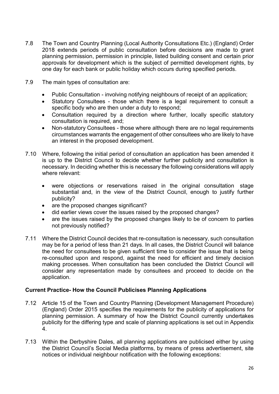- 7.8 The Town and Country Planning (Local Authority Consultations Etc.) (England) Order 2018 extends periods of public consultation before decisions are made to grant planning permission, permission in principle, listed building consent and certain prior approvals for development which is the subject of permitted development rights, by one day for each bank or public holiday which occurs during specified periods.
- 7.9 The main types of consultation are:
	- Public Consultation involving notifying neighbours of receipt of an application;
	- Statutory Consultees those which there is a legal requirement to consult a specific body who are then under a duty to respond;
	- Consultation required by a direction where further, locally specific statutory consultation is required, and;
	- Non-statutory Consultees those where although there are no legal requirements circumstances warrants the engagement of other consultees who are likely to have an interest in the proposed development.
- 7.10 Where, following the initial period of consultation an application has been amended it is up to the District Council to decide whether further publicity and consultation is necessary. In deciding whether this is necessary the following considerations will apply where relevant:
	- were objections or reservations raised in the original consultation stage substantial and, in the view of the District Council, enough to justify further publicity?
	- are the proposed changes significant?
	- did earlier views cover the issues raised by the proposed changes?
	- are the issues raised by the proposed changes likely to be of concern to parties not previously notified?
- 7.11 Where the District Council decides that re-consultation is necessary, such consultation may be for a period of less than 21 days. In all cases, the District Council will balance the need for consultees to be given sufficient time to consider the issue that is being re-consulted upon and respond, against the need for efficient and timely decision making processes. When consultation has been concluded the District Council will consider any representation made by consultees and proceed to decide on the application.

## Current Practice- How the Council Publicises Planning Applications

- 7.12 Article 15 of the Town and Country Planning (Development Management Procedure) (England) Order 2015 specifies the requirements for the publicity of applications for planning permission. A summary of how the District Council currently undertakes publicity for the differing type and scale of planning applications is set out in Appendix 4.
- 7.13 Within the Derbyshire Dales, all planning applications are publicised either by using the District Council's Social Media platforms, by means of press advertisement, site notices or individual neighbour notification with the following exceptions: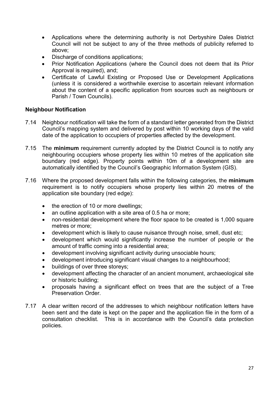- Applications where the determining authority is not Derbyshire Dales District Council will not be subject to any of the three methods of publicity referred to above;
- Discharge of conditions applications;
- Prior Notification Applications (where the Council does not deem that its Prior Approval is required), and;
- Certificate of Lawful Existing or Proposed Use or Development Applications (unless it is considered a worthwhile exercise to ascertain relevant information about the content of a specific application from sources such as neighbours or Parish / Town Councils).

## Neighbour Notification

- 7.14 Neighbour notification will take the form of a standard letter generated from the District Council's mapping system and delivered by post within 10 working days of the valid date of the application to occupiers of properties affected by the development.
- 7.15 The minimum requirement currently adopted by the District Council is to notify any neighbouring occupiers whose property lies within 10 metres of the application site boundary (red edge). Property points within 10m of a development site are automatically identified by the Council's Geographic Information System (GIS).
- 7.16 Where the proposed development falls within the following categories, the minimum requirement is to notify occupiers whose property lies within 20 metres of the application site boundary (red edge):
	- the erection of 10 or more dwellings;
	- an outline application with a site area of 0.5 ha or more:
	- non-residential development where the floor space to be created is 1,000 square metres or more;
	- development which is likely to cause nuisance through noise, smell, dust etc;
	- development which would significantly increase the number of people or the amount of traffic coming into a residential area;
	- development involving significant activity during unsociable hours;
	- development introducing significant visual changes to a neighbourhood;
	- buildings of over three storeys;
	- development affecting the character of an ancient monument, archaeological site or historic building;
	- proposals having a significant effect on trees that are the subject of a Tree Preservation Order.
- 7.17 A clear written record of the addresses to which neighbour notification letters have been sent and the date is kept on the paper and the application file in the form of a consultation checklist. This is in accordance with the Council's data protection policies.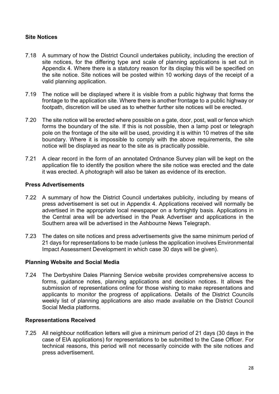## Site Notices

- 7.18 A summary of how the District Council undertakes publicity, including the erection of site notices, for the differing type and scale of planning applications is set out in Appendix 4. Where there is a statutory reason for its display this will be specified on the site notice. Site notices will be posted within 10 working days of the receipt of a valid planning application.
- 7.19 The notice will be displayed where it is visible from a public highway that forms the frontage to the application site. Where there is another frontage to a public highway or footpath, discretion will be used as to whether further site notices will be erected.
- 7.20 The site notice will be erected where possible on a gate, door, post, wall or fence which forms the boundary of the site. If this is not possible, then a lamp post or telegraph pole on the frontage of the site will be used, providing it is within 10 metres of the site boundary. Where it is impossible to comply with the above requirements, the site notice will be displayed as near to the site as is practically possible.
- 7.21 A clear record in the form of an annotated Ordnance Survey plan will be kept on the application file to identify the position where the site notice was erected and the date it was erected. A photograph will also be taken as evidence of its erection.

## Press Advertisements

- 7.22 A summary of how the District Council undertakes publicity, including by means of press advertisement is set out in Appendix 4. Applications received will normally be advertised in the appropriate local newspaper on a fortnightly basis. Applications in the Central area will be advertised in the Peak Advertiser and applications in the Southern area will be advertised in the Ashbourne News Telegraph.
- 7.23 The dates on site notices and press advertisements give the same minimum period of 21 days for representations to be made (unless the application involves Environmental Impact Assessment Development in which case 30 days will be given).

#### Planning Website and Social Media

7.24 The Derbyshire Dales Planning Service website provides comprehensive access to forms, guidance notes, planning applications and decision notices. It allows the submission of representations online for those wishing to make representations and applicants to monitor the progress of applications. Details of the District Councils weekly list of planning applications are also made available on the District Council Social Media platforms.

#### Representations Received

7.25 All neighbour notification letters will give a minimum period of 21 days (30 days in the case of EIA applications) for representations to be submitted to the Case Officer. For technical reasons, this period will not necessarily coincide with the site notices and press advertisement.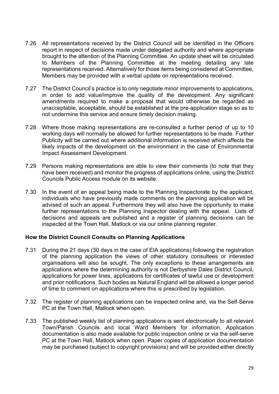- 7.26 All representations received by the District Council will be identified in the Officers report in respect of decisions made under delegated authority and where appropriate brought to the attention of the Planning Committee. An update sheet will be circulated to Members of the Planning Committee at the meeting detailing any late representations received. Alternatively for those items being considered at Committee, Members may be provided with a verbal update on representations received.
- 7.27 The District Council's practice is to only negotiate minor improvements to applications, in order to add value/improve the quality of the development. Any significant amendments required to make a proposal that would otherwise be regarded as unacceptable, acceptable, should be established at the pre-application stage so as to not undermine this service and ensure timely decision making.
- 7.28 Where those making representations are re-consulted a further period of up to 10 working days will normally be allowed for further representations to be made. Further Publicity will be carried out where additional information is received which affects the likely impacts of the development on the environment in the case of Environmental Impact Assessment Development.
- 7.29 Persons making representations are able to view their comments (to note that they have been received) and monitor the progress of applications online, using the District Councils Public Access module on its website.
- 7.30 In the event of an appeal being made to the Planning Inspectorate by the applicant, individuals who have previously made comments on the planning application will be advised of such an appeal. Furthermore they will also have the opportunity to make further representations to the Planning Inspector dealing with the appeal. Lists of decisions and appeals are published and a register of planning decisions can be inspected at the Town Hall, Matlock or via our online planning register.

## How the District Council Consults on Planning Applications

- 7.31 During the 21 days (30 days in the case of EIA applications) following the registration of the planning application the views of other statutory consultees or interested organisations will also be sought. The only exceptions to these arrangements are applications where the determining authority is not Derbyshire Dales District Council, applications for power lines, applications for certificates of lawful use or development and prior notifications. Such bodies as Natural England will be allowed a longer period of time to comment on applications where this is prescribed by legislation.
- 7.32 The register of planning applications can be inspected online and, via the Self-Serve PC at the Town Hall, Matlock when open.
- 7.33 The published weekly list of planning applications is sent electronically to all relevant Town/Parish Councils and local Ward Members for information. Application documentation is also made available for public inspection online or via the self-serve PC at the Town Hall, Matlock when open. Paper copies of application documentation may be purchased (subject to copyright provisions) and will be provided either directly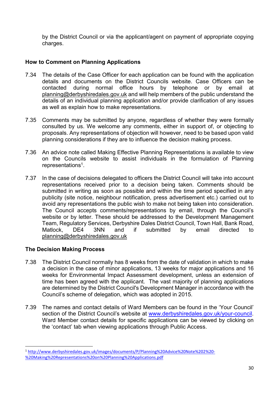by the District Council or via the applicant/agent on payment of appropriate copying charges.

## How to Comment on Planning Applications

- 7.34 The details of the Case Officer for each application can be found with the application details and documents on the District Councils website. Case Officers can be contacted during normal office hours by telephone or by email at planning@derbyshiredales.gov.uk and will help members of the public understand the details of an individual planning application and/or provide clarification of any issues as well as explain how to make representations.
- 7.35 Comments may be submitted by anyone, regardless of whether they were formally consulted by us. We welcome any comments, either in support of, or objecting to proposals. Any representations of objection will however, need to be based upon valid planning considerations if they are to influence the decision making process.
- 7.36 An advice note called Making Effective Planning Representations is available to view on the Councils website to assist individuals in the formulation of Planning representations<sup>1</sup>.
- 7.37 In the case of decisions delegated to officers the District Council will take into account representations received prior to a decision being taken. Comments should be submitted in writing as soon as possible and within the time period specified in any publicity (site notice, neighbour notification, press advertisement etc.) carried out to avoid any representations the public wish to make not being taken into consideration. The Council accepts comments/representations by email, through the Council's website or by letter. These should be addressed to the Development Management Team, Regulatory Services, Derbyshire Dales District Council, Town Hall, Bank Road, Matlock, DE4 3NN and if submitted by email directed to planning@derbyshiredales.gov.uk

## The Decision Making Process

-

- 7.38 The District Council normally has 8 weeks from the date of validation in which to make a decision in the case of minor applications, 13 weeks for major applications and 16 weeks for Environmental Impact Assessment development, unless an extension of time has been agreed with the applicant. The vast majority of planning applications are determined by the District Council's Development Manager in accordance with the Council's scheme of delegation, which was adopted in 2015.
- 7.39 The names and contact details of Ward Members can be found in the 'Your Council' section of the District Council's website at www.derbyshiredales.gov.uk/your-council. Ward Member contact details for specific applications can be viewed by clicking on the 'contact' tab when viewing applications through Public Access.

<sup>1</sup> http://www.derbyshiredales.gov.uk/images/documents/P/Planning%20Advice%20Note%202%20- %20Making%20Representations%20on%20Planning%20Applications.pdf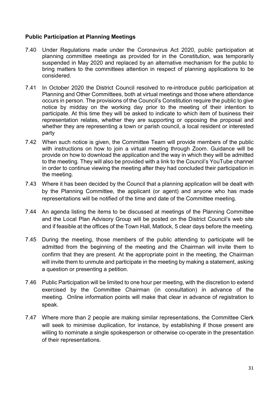## Public Participation at Planning Meetings

- 7.40 Under Regulations made under the Coronavirus Act 2020, public participation at planning committee meetings as provided for in the Constitution, was temporarily suspended in May 2020 and replaced by an alternative mechanism for the public to bring matters to the committees attention in respect of planning applications to be considered.
- 7.41 In October 2020 the District Council resolved to re-introduce public participation at Planning and Other Committees, both at virtual meetings and those where attendance occurs in person. The provisions of the Council's Constitution require the public to give notice by midday on the working day prior to the meeting of their intention to participate. At this time they will be asked to indicate to which item of business their representation relates, whether they are supporting or opposing the proposal and whether they are representing a town or parish council, a local resident or interested party
- 7.42 When such notice is given, the Committee Team will provide members of the public with instructions on how to join a virtual meeting through Zoom. Guidance will be provide on how to download the application and the way in which they will be admitted to the meeting. They will also be provided with a link to the Council's YouTube channel in order to continue viewing the meeting after they had concluded their participation in the meeting.
- 7.43 Where it has been decided by the Council that a planning application will be dealt with by the Planning Committee, the applicant (or agent) and anyone who has made representations will be notified of the time and date of the Committee meeting.
- 7.44 An agenda listing the items to be discussed at meetings of the Planning Committee and the Local Plan Advisory Group will be posted on the District Council's web site and if feasible at the offices of the Town Hall, Matlock, 5 clear days before the meeting.
- 7.45 During the meeting, those members of the public attending to participate will be admitted from the beginning of the meeting and the Chairman will invite them to confirm that they are present. At the appropriate point in the meeting, the Chairman will invite them to unmute and participate in the meeting by making a statement, asking a question or presenting a petition.
- 7.46 Public Participation will be limited to one hour per meeting, with the discretion to extend exercised by the Committee Chairman (in consultation) in advance of the meeting. Online information points will make that clear in advance of registration to speak.
- 7.47 Where more than 2 people are making similar representations, the Committee Clerk will seek to minimise duplication, for instance, by establishing if those present are willing to nominate a single spokesperson or otherwise co-operate in the presentation of their representations.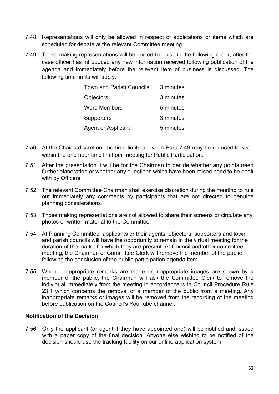- 7.48 Representations will only be allowed in respect of applications or items which are scheduled for debate at the relevant Committee meeting
- 7.49 Those making representations will be invited to do so in the following order, after the case officer has introduced any new information received following publication of the agenda and immediately before the relevant item of business is discussed. The following time limits will apply:

| <b>Town and Parish Councils</b> | 3 minutes |
|---------------------------------|-----------|
| <b>Objectors</b>                | 3 minutes |
| <b>Ward Members</b>             | 5 minutes |
| <b>Supporters</b>               | 3 minutes |
| <b>Agent or Applicant</b>       | 5 minutes |

- 7.50 At the Chair's discretion, the time limits above in Para 7.49 may be reduced to keep within the one hour time limit per meeting for Public Participation.
- 7.51 After the presentation it will be for the Chairman to decide whether any points need further elaboration or whether any questions which have been raised need to be dealt with by Officers
- 7.52 The relevant Committee Chairman shall exercise discretion during the meeting to rule out immediately any comments by participants that are not directed to genuine planning considerations.
- 7.53 Those making representations are not allowed to share their screens or circulate any photos or written material to the Committee.
- 7.54 At Planning Committee, applicants or their agents, objectors, supporters and town and parish councils will have the opportunity to remain in the virtual meeting for the duration of the matter for which they are present. At Council and other committee meeting, the Chairman or Committee Clerk will remove the member of the public following the conclusion of the public participation agenda item.
- 7.55 Where inappropriate remarks are made or inappropriate images are shown by a member of the public, the Chairman will ask the Committee Clerk to remove the individual immediately from the meeting in accordance with Council Procedure Rule 23.1 which concerns the removal of a member of the public from a meeting. Any inappropriate remarks or images will be removed from the recording of the meeting before publication on the Council's YouTube channel.

#### Notification of the Decision

7.56 Only the applicant (or agent if they have appointed one) will be notified and issued with a paper copy of the final decision. Anyone else wishing to be notified of the decision should use the tracking facility on our online application system.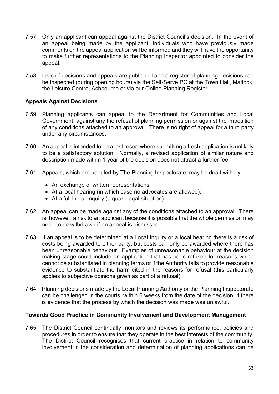- 7.57 Only an applicant can appeal against the District Council's decision. In the event of an appeal being made by the applicant, individuals who have previously made comments on the appeal application will be informed and they will have the opportunity to make further representations to the Planning Inspector appointed to consider the appeal.
- 7.58 Lists of decisions and appeals are published and a register of planning decisions can be inspected (during opening hours) via the Self-Serve PC at the Town Hall, Matlock, the Leisure Centre, Ashbourne or via our Online Planning Register.

## Appeals Against Decisions

- 7.59 Planning applicants can appeal to the Department for Communities and Local Government, against any the refusal of planning permission or against the imposition of any conditions attached to an approval. There is no right of appeal for a third party under any circumstances.
- 7.60 An appeal is intended to be a last resort where submitting a fresh application is unlikely to be a satisfactory solution. Normally, a revised application of similar nature and description made within 1 year of the decision does not attract a further fee.
- 7.61 Appeals, which are handled by The Planning Inspectorate, may be dealt with by:
	- An exchange of written representations;
	- At a local hearing (in which case no advocates are allowed);
	- At a full Local Inquiry (a quasi-legal situation).
- 7.62 An appeal can be made against any of the conditions attached to an approval. There is, however, a risk to an applicant because it is possible that the whole permission may need to be withdrawn if an appeal is dismissed.
- 7.63 If an appeal is to be determined at a Local Inquiry or a local hearing there is a risk of costs being awarded to either party, but costs can only be awarded where there has been unreasonable behaviour. Examples of unreasonable behaviour at the decision making stage could include an application that has been refused for reasons which cannot be substantiated in planning terms or if the Authority fails to provide reasonable evidence to substantiate the harm cited in the reasons for refusal (this particularly applies to subjective opinions given as part of a refusal).
- 7.64 Planning decisions made by the Local Planning Authority or the Planning Inspectorate can be challenged in the courts, within 6 weeks from the date of the decision, if there is evidence that the process by which the decision was made was unlawful.

#### Towards Good Practice in Community Involvement and Development Management

7.65 The District Council continually monitors and reviews its performance, policies and procedures in order to ensure that they operate in the best interests of the community. The District Council recognises that current practice in relation to community involvement in the consideration and determination of planning applications can be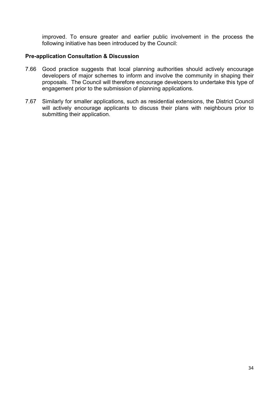improved. To ensure greater and earlier public involvement in the process the following initiative has been introduced by the Council:

#### Pre-application Consultation & Discussion

- 7.66 Good practice suggests that local planning authorities should actively encourage developers of major schemes to inform and involve the community in shaping their proposals. The Council will therefore encourage developers to undertake this type of engagement prior to the submission of planning applications.
- 7.67 Similarly for smaller applications, such as residential extensions, the District Council will actively encourage applicants to discuss their plans with neighbours prior to submitting their application.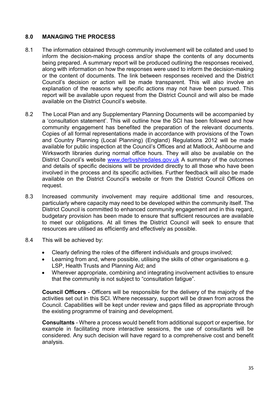## 8.0 MANAGING THE PROCESS

- 8.1 The information obtained through community involvement will be collated and used to inform the decision-making process and/or shape the contents of any documents being prepared. A summary report will be produced outlining the responses received, along with information on how the responses were used to inform the decision-making or the content of documents. The link between responses received and the District Council's decision or action will be made transparent. This will also involve an explanation of the reasons why specific actions may not have been pursued. This report will be available upon request from the District Council and will also be made available on the District Council's website.
- 8.2 The Local Plan and any Supplementary Planning Documents will be accompanied by a 'consultation statement'. This will outline how the SCI has been followed and how community engagement has benefited the preparation of the relevant documents. Copies of all formal representations made in accordance with provisions of the Town and Country Planning (Local Planning) (England) Regulations 2012 will be made available for public inspection at the Council's Offices and at Matlock, Ashbourne and Wirksworth libraries during normal office hours. They will also be available on the District Council's website www.derbyshiredales.gov.uk A summary of the outcomes and details of specific decisions will be provided directly to all those who have been involved in the process and its specific activities. Further feedback will also be made available on the District Council's website or from the District Council Offices on request.
- 8.3 Increased community involvement may require additional time and resources, particularly where capacity may need to be developed within the community itself. The District Council is committed to enhanced community engagement and in this regard, budgetary provision has been made to ensure that sufficient resources are available to meet our obligations. At all times the District Council will seek to ensure that resources are utilised as efficiently and effectively as possible.
- 8.4 This will be achieved by:
	- Clearly defining the roles of the different individuals and groups involved;
	- Learning from and, where possible, utilising the skills of other organisations e.g. LSP, Health Trusts and Planning Aid; and
	- Wherever appropriate, combining and integrating involvement activities to ensure that the community is not subject to "consultation fatigue".

Council Officers - Officers will be responsible for the delivery of the majority of the activities set out in this SCI. Where necessary, support will be drawn from across the Council. Capabilities will be kept under review and gaps filled as appropriate through the existing programme of training and development.

Consultants - Where a process would benefit from additional support or expertise, for example in facilitating more interactive sessions, the use of consultants will be considered. Any such decision will have regard to a comprehensive cost and benefit analysis.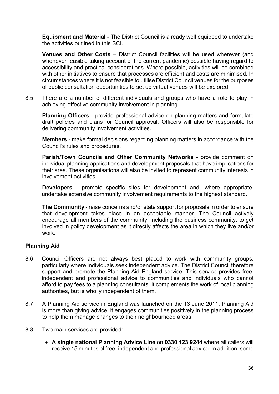Equipment and Material - The District Council is already well equipped to undertake the activities outlined in this SCI.

Venues and Other Costs – District Council facilities will be used wherever (and whenever feasible taking account of the current pandemic) possible having regard to accessibility and practical considerations. Where possible, activities will be combined with other initiatives to ensure that processes are efficient and costs are minimised. In circumstances where it is not feasible to utilise District Council venues for the purposes of public consultation opportunities to set up virtual venues will be explored.

8.5 There are a number of different individuals and groups who have a role to play in achieving effective community involvement in planning.

Planning Officers - provide professional advice on planning matters and formulate draft policies and plans for Council approval. Officers will also be responsible for delivering community involvement activities.

Members - make formal decisions regarding planning matters in accordance with the Council's rules and procedures.

Parish/Town Councils and Other Community Networks - provide comment on individual planning applications and development proposals that have implications for their area. These organisations will also be invited to represent community interests in involvement activities.

Developers - promote specific sites for development and, where appropriate, undertake extensive community involvement requirements to the highest standard.

The Community - raise concerns and/or state support for proposals in order to ensure that development takes place in an acceptable manner. The Council actively encourage all members of the community, including the business community, to get involved in policy development as it directly affects the area in which they live and/or work.

## Planning Aid

- 8.6 Council Officers are not always best placed to work with community groups, particularly where individuals seek independent advice. The District Council therefore support and promote the Planning Aid England service. This service provides free, independent and professional advice to communities and individuals who cannot afford to pay fees to a planning consultants. It complements the work of local planning authorities, but is wholly independent of them.
- 8.7 A Planning Aid service in England was launched on the 13 June 2011. Planning Aid is more than giving advice, it engages communities positively in the planning process to help them manage changes to their neighbourhood areas.
- 8.8 Two main services are provided:
	- A single national Planning Advice Line on 0330 123 9244 where all callers will receive 15 minutes of free, independent and professional advice. In addition, some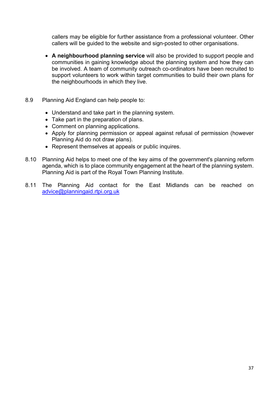callers may be eligible for further assistance from a professional volunteer. Other callers will be guided to the website and sign-posted to other organisations.

- A neighbourhood planning service will also be provided to support people and communities in gaining knowledge about the planning system and how they can be involved. A team of community outreach co-ordinators have been recruited to support volunteers to work within target communities to build their own plans for the neighbourhoods in which they live.
- 8.9 Planning Aid England can help people to:
	- Understand and take part in the planning system.
	- Take part in the preparation of plans.
	- Comment on planning applications.
	- Apply for planning permission or appeal against refusal of permission (however Planning Aid do not draw plans).
	- Represent themselves at appeals or public inquires.
- 8.10 Planning Aid helps to meet one of the key aims of the government's planning reform agenda, which is to place community engagement at the heart of the planning system. Planning Aid is part of the Royal Town Planning Institute.
- 8.11 The Planning Aid contact for the East Midlands can be reached on advice@planningaid.rtpi.org.uk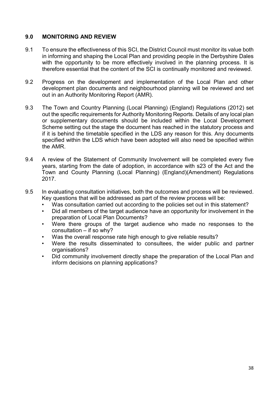## 9.0 MONITORING AND REVIEW

- 9.1 To ensure the effectiveness of this SCI, the District Council must monitor its value both in informing and shaping the Local Plan and providing people in the Derbyshire Dales with the opportunity to be more effectively involved in the planning process. It is therefore essential that the content of the SCI is continually monitored and reviewed.
- 9.2 Progress on the development and implementation of the Local Plan and other development plan documents and neighbourhood planning will be reviewed and set out in an Authority Monitoring Report (AMR).
- 9.3 The Town and Country Planning (Local Planning) (England) Regulations (2012) set out the specific requirements for Authority Monitoring Reports. Details of any local plan or supplementary documents should be included within the Local Development Scheme setting out the stage the document has reached in the statutory process and if it is behind the timetable specified in the LDS any reason for this. Any documents specified within the LDS which have been adopted will also need be specified within the AMR.
- 9.4 A review of the Statement of Community Involvement will be completed every five years, starting from the date of adoption, in accordance with s23 of the Act and the Town and County Planning (Local Planning) (England)(Amendment) Regulations 2017.
- 9.5 In evaluating consultation initiatives, both the outcomes and process will be reviewed. Key questions that will be addressed as part of the review process will be:
	- Was consultation carried out according to the policies set out in this statement?
	- Did all members of the target audience have an opportunity for involvement in the preparation of Local Plan Documents?
	- Were there groups of the target audience who made no responses to the consultation – if so why?
	- Was the overall response rate high enough to give reliable results?
	- Were the results disseminated to consultees, the wider public and partner organisations?
	- Did community involvement directly shape the preparation of the Local Plan and inform decisions on planning applications?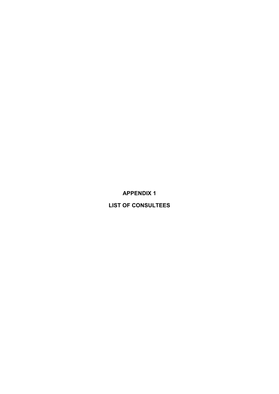# APPENDIX 1

# LIST OF CONSULTEES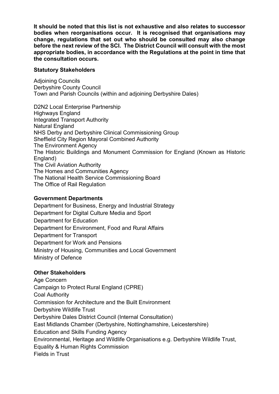It should be noted that this list is not exhaustive and also relates to successor bodies when reorganisations occur. It is recognised that organisations may change, regulations that set out who should be consulted may also change before the next review of the SCI. The District Council will consult with the most appropriate bodies, in accordance with the Regulations at the point in time that the consultation occurs.

#### Statutory Stakeholders

Adjoining Councils Derbyshire County Council Town and Parish Councils (within and adjoining Derbyshire Dales)

D2N2 Local Enterprise Partnership Highways England Integrated Transport Authority Natural England NHS Derby and Derbyshire Clinical Commissioning Group Sheffield City Region Mayoral Combined Authority The Environment Agency The Historic Buildings and Monument Commission for England (Known as Historic England) The Civil Aviation Authority The Homes and Communities Agency The National Health Service Commissioning Board The Office of Rail Regulation

## Government Departments

Department for Business, Energy and Industrial Strategy Department for Digital Culture Media and Sport Department for Education Department for Environment, Food and Rural Affairs Department for Transport Department for Work and Pensions Ministry of Housing, Communities and Local Government Ministry of Defence

## Other Stakeholders

Age Concern Campaign to Protect Rural England (CPRE) Coal Authority Commission for Architecture and the Built Environment Derbyshire Wildlife Trust Derbyshire Dales District Council (Internal Consultation) East Midlands Chamber (Derbyshire, Nottinghamshire, Leicestershire) Education and Skills Funding Agency Environmental, Heritage and Wildlife Organisations e.g. Derbyshire Wildlife Trust, Equality & Human Rights Commission Fields in Trust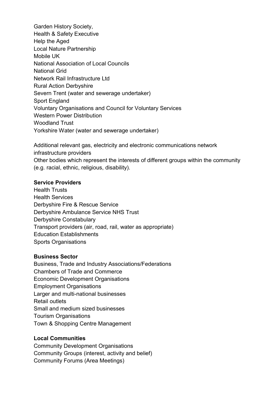Garden History Society, Health & Safety Executive Help the Aged Local Nature Partnership Mobile UK National Association of Local Councils National Grid Network Rail Infrastructure Ltd Rural Action Derbyshire Severn Trent (water and sewerage undertaker) Sport England Voluntary Organisations and Council for Voluntary Services Western Power Distribution Woodland Trust Yorkshire Water (water and sewerage undertaker)

Additional relevant gas, electricity and electronic communications network infrastructure providers Other bodies which represent the interests of different groups within the community (e.g. racial, ethnic, religious, disability).

#### Service Providers

Health Trusts Health Services Derbyshire Fire & Rescue Service Derbyshire Ambulance Service NHS Trust Derbyshire Constabulary Transport providers (air, road, rail, water as appropriate) Education Establishments Sports Organisations

#### Business Sector

Business, Trade and Industry Associations/Federations Chambers of Trade and Commerce Economic Development Organisations Employment Organisations Larger and multi-national businesses Retail outlets Small and medium sized businesses Tourism Organisations Town & Shopping Centre Management

## Local Communities

Community Development Organisations Community Groups (interest, activity and belief) Community Forums (Area Meetings)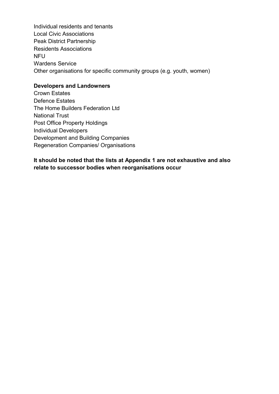Individual residents and tenants Local Civic Associations Peak District Partnership Residents Associations **NFU** Wardens Service Other organisations for specific community groups (e.g. youth, women)

## Developers and Landowners

Crown Estates Defence Estates The Home Builders Federation Ltd National Trust Post Office Property Holdings Individual Developers Development and Building Companies Regeneration Companies/ Organisations

## It should be noted that the lists at Appendix 1 are not exhaustive and also relate to successor bodies when reorganisations occur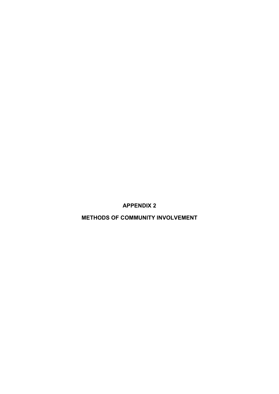APPENDIX 2

METHODS OF COMMUNITY INVOLVEMENT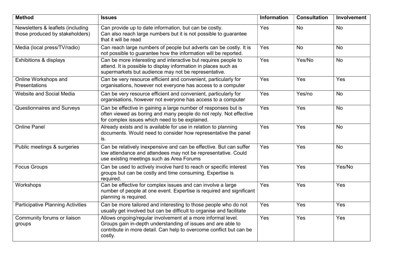| <b>Method</b>                                                        | <b>Issues</b>                                                                                                                                                                                                  | <b>Information</b> | <b>Consultation</b> | Involvement |
|----------------------------------------------------------------------|----------------------------------------------------------------------------------------------------------------------------------------------------------------------------------------------------------------|--------------------|---------------------|-------------|
| Newsletters & leaflets (including<br>those produced by stakeholders) | Can provide up to date information, but can be costly.<br>Can also reach large numbers but it is not possible to guarantee<br>that it will be read                                                             | Yes                | <b>No</b>           | <b>No</b>   |
| Media (local press/TV/radio)                                         | Can reach large numbers of people but adverts can be costly. It is<br>not possible to guarantee how the information will be reported.                                                                          | Yes                | <b>No</b>           | <b>No</b>   |
| Exhibitions & displays                                               | Can be more interesting and interactive but requires people to<br>attend. It is possible to display information in places such as<br>supermarkets but audience may not be representative.                      | Yes                | Yes/No              | No          |
| Online Workshops and<br><b>Presentations</b>                         | Can be very resource efficient and convenient, particularly for<br>organisations, however not everyone has access to a computer                                                                                | Yes                | Yes                 | Yes         |
| Website and Social Media                                             | Can be very resource efficient and convenient, particularly for<br>organisations, however not everyone has access to a computer                                                                                | Yes                | Yes/no              | No          |
| Questionnaires and Surveys                                           | Can be effective in gaining a large number of responses but is<br>often viewed as boring and many people do not reply. Not effective<br>for complex issues which need to be explained.                         | Yes                | Yes                 | <b>No</b>   |
| <b>Online Panel</b>                                                  | Already exists and is available for use in relation to planning<br>documents. Would need to consider how representative the panel<br>is.                                                                       | Yes                | Yes                 | <b>No</b>   |
| Public meetings & surgeries                                          | Can be relatively inexpensive and can be effective. But can suffer<br>low attendance and attendees may not be representative. Could<br>use existing meetings such as Area Forums                               | Yes                | Yes                 | <b>No</b>   |
| <b>Focus Groups</b>                                                  | Can be used to actively involve hard to reach or specific interest<br>groups but can be costly and time consuming. Expertise is<br>required.                                                                   | Yes                | Yes                 | Yes/No      |
| Workshops                                                            | Can be effective for complex issues and can involve a large<br>number of people at one event. Expertise is required and significant<br>planning is required.                                                   | Yes                | Yes                 | Yes         |
| <b>Participative Planning Activities</b>                             | Can be more tailored and interesting to those people who do not<br>usually get involved but can be difficult to organise and facilitate                                                                        | Yes                | Yes                 | Yes         |
| Community forums or liaison<br>groups                                | Allows ongoing/regular involvement at a more informal level.<br>Groups gain in-depth understanding of issues and are able to<br>contribute in more detail. Can help to overcome conflict but can be<br>costly. | Yes                | Yes                 | Yes         |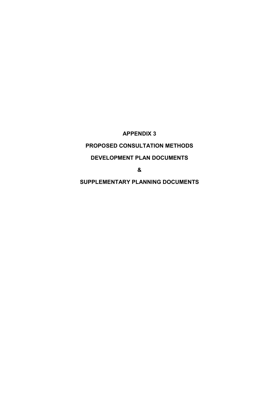APPENDIX 3

# PROPOSED CONSULTATION METHODS

# DEVELOPMENT PLAN DOCUMENTS

&

SUPPLEMENTARY PLANNING DOCUMENTS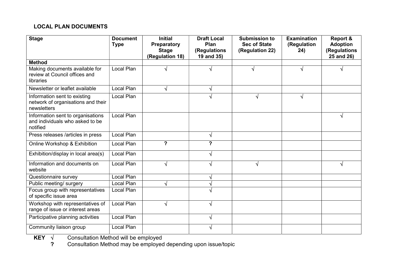## LOCAL PLAN DOCUMENTS

| <b>Stage</b>                                                                      | <b>Document</b><br><b>Type</b> | <b>Initial</b><br>Preparatory<br><b>Stage</b><br>(Regulation 18) | <b>Draft Local</b><br>Plan<br>(Regulations<br>19 and 35) | <b>Submission to</b><br><b>Sec of State</b><br>(Regulation 22) | <b>Examination</b><br>(Regulation<br>24) | Report &<br><b>Adoption</b><br>(Regulations<br>25 and 26) |
|-----------------------------------------------------------------------------------|--------------------------------|------------------------------------------------------------------|----------------------------------------------------------|----------------------------------------------------------------|------------------------------------------|-----------------------------------------------------------|
| <b>Method</b>                                                                     |                                |                                                                  |                                                          |                                                                |                                          |                                                           |
| Making documents available for<br>review at Council offices and<br>libraries      | Local Plan                     |                                                                  |                                                          | V                                                              |                                          |                                                           |
| Newsletter or leaflet available                                                   | Local Plan                     | V                                                                | ٦J                                                       |                                                                |                                          |                                                           |
| Information sent to existing<br>network of organisations and their<br>newsletters | Local Plan                     |                                                                  |                                                          |                                                                | V                                        |                                                           |
| Information sent to organisations<br>and individuals who asked to be<br>notified  | Local Plan                     |                                                                  |                                                          |                                                                |                                          | V                                                         |
| Press releases /articles in press                                                 | Local Plan                     |                                                                  | √                                                        |                                                                |                                          |                                                           |
| Online Workshop & Exhibition                                                      | Local Plan                     | ?                                                                | $\overline{\mathbf{?}}$                                  |                                                                |                                          |                                                           |
| Exhibition/display in local area(s)                                               | Local Plan                     |                                                                  |                                                          |                                                                |                                          |                                                           |
| Information and documents on<br>website                                           | Local Plan                     |                                                                  |                                                          |                                                                |                                          | V                                                         |
| Questionnaire survey                                                              | Local Plan                     |                                                                  |                                                          |                                                                |                                          |                                                           |
| Public meeting/ surgery                                                           | Local Plan                     |                                                                  |                                                          |                                                                |                                          |                                                           |
| Focus group with representatives<br>of specific issue area                        | Local Plan                     |                                                                  |                                                          |                                                                |                                          |                                                           |
| Workshop with representatives of<br>range of issue or interest areas              | Local Plan                     |                                                                  |                                                          |                                                                |                                          |                                                           |
| Participative planning activities                                                 | Local Plan                     |                                                                  |                                                          |                                                                |                                          |                                                           |
| Community liaison group                                                           | Local Plan                     |                                                                  |                                                          |                                                                |                                          |                                                           |

**KEY**  $\sqrt{ }$  Consultation Method will be employed

? Consultation Method may be employed depending upon issue/topic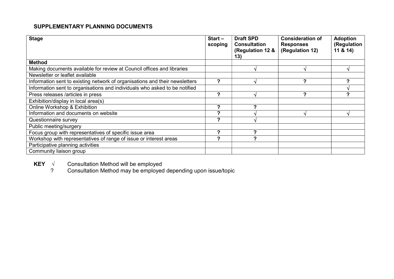# SUPPLEMENTARY PLANNING DOCUMENTS

| <b>Stage</b>                                                                | $Start -$<br>scoping | <b>Draft SPD</b><br><b>Consultation</b><br>(Regulation 12 &<br>13) | <b>Consideration of</b><br><b>Responses</b><br>(Regulation 12) | <b>Adoption</b><br>(Regulation<br>11 & 814 |
|-----------------------------------------------------------------------------|----------------------|--------------------------------------------------------------------|----------------------------------------------------------------|--------------------------------------------|
| <b>Method</b>                                                               |                      |                                                                    |                                                                |                                            |
| Making documents available for review at Council offices and libraries      |                      |                                                                    |                                                                |                                            |
| Newsletter or leaflet available                                             |                      |                                                                    |                                                                |                                            |
| Information sent to existing network of organisations and their newsletters | ?                    |                                                                    | 2                                                              | <u>っ</u>                                   |
| Information sent to organisations and individuals who asked to be notified  |                      |                                                                    |                                                                |                                            |
| Press releases /articles in press                                           | ?                    |                                                                    | ?                                                              |                                            |
| Exhibition/display in local area(s)                                         |                      |                                                                    |                                                                |                                            |
| Online Workshop & Exhibition                                                | ?                    | <u>ົ</u>                                                           |                                                                |                                            |
| Information and documents on website                                        | 2                    |                                                                    |                                                                |                                            |
| Questionnaire survey                                                        | ?                    |                                                                    |                                                                |                                            |
| Public meeting/surgery                                                      |                      |                                                                    |                                                                |                                            |
| Focus group with representatives of specific issue area                     | 2                    | 2                                                                  |                                                                |                                            |
| Workshop with representatives of range of issue or interest areas           | 2                    | 2                                                                  |                                                                |                                            |
| Participative planning activities                                           |                      |                                                                    |                                                                |                                            |
| Community liaison group                                                     |                      |                                                                    |                                                                |                                            |

**KEY**  $\sqrt{ }$  Consultation Method will be employed

? Consultation Method may be employed depending upon issue/topic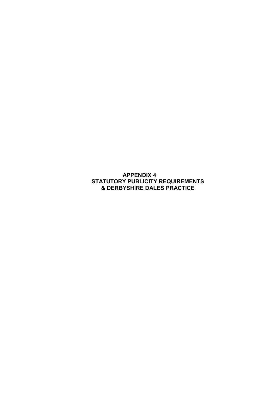APPENDIX 4 STATUTORY PUBLICITY REQUIREMENTS & DERBYSHIRE DALES PRACTICE